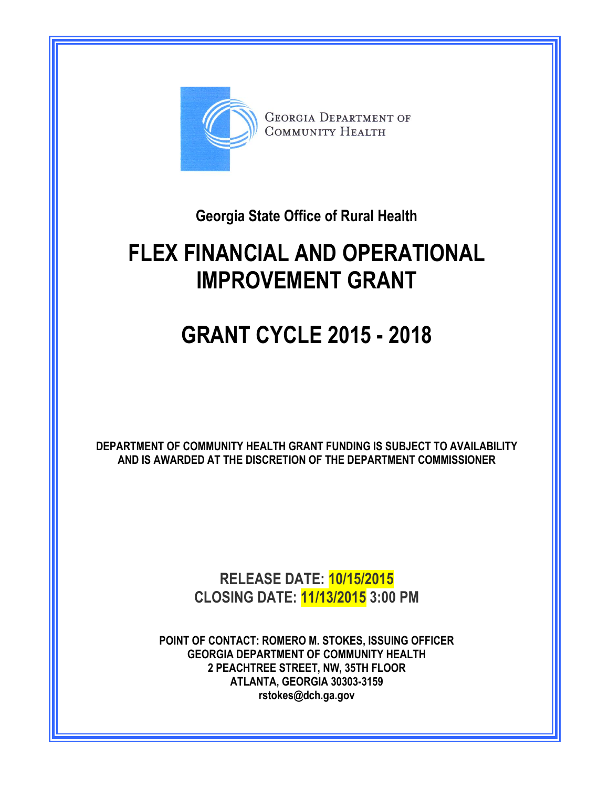

**Georgia State Office of Rural Health**

# **FLEX FINANCIAL AND OPERATIONAL IMPROVEMENT GRANT**

# **GRANT CYCLE 2015 - 2018**

**DEPARTMENT OF COMMUNITY HEALTH GRANT FUNDING IS SUBJECT TO AVAILABILITY AND IS AWARDED AT THE DISCRETION OF THE DEPARTMENT COMMISSIONER** 

> **RELEASE DATE: 10/15/2015 CLOSING DATE: 11/13/2015 3:00 PM**

**POINT OF CONTACT: ROMERO M. STOKES, ISSUING OFFICER GEORGIA DEPARTMENT OF COMMUNITY HEALTH 2 PEACHTREE STREET, NW, 35TH FLOOR ATLANTA, GEORGIA 30303-3159 rstokes@dch.ga.gov**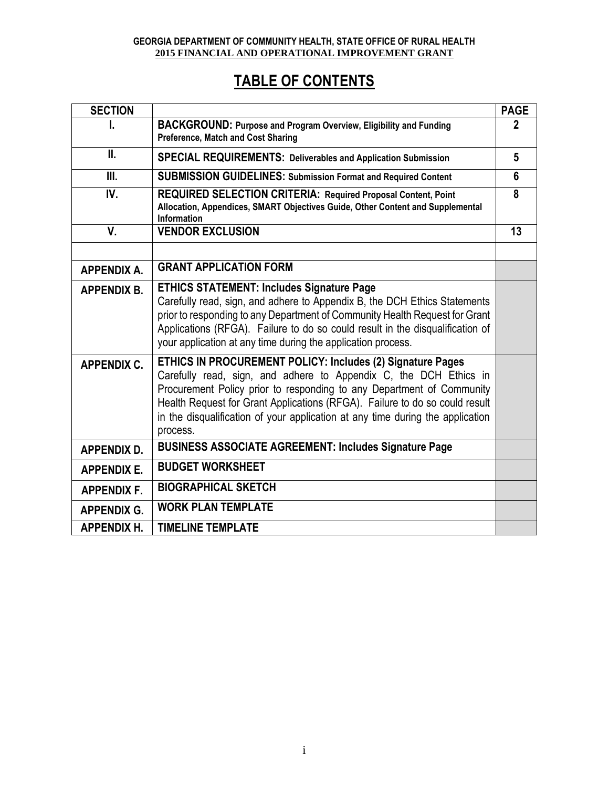## **TABLE OF CONTENTS**

| <b>SECTION</b>     |                                                                                                                                                                                                                                                                                                                                                                                       | <b>PAGE</b>  |
|--------------------|---------------------------------------------------------------------------------------------------------------------------------------------------------------------------------------------------------------------------------------------------------------------------------------------------------------------------------------------------------------------------------------|--------------|
| ı.                 | BACKGROUND: Purpose and Program Overview, Eligibility and Funding<br>Preference, Match and Cost Sharing                                                                                                                                                                                                                                                                               | $\mathbf{2}$ |
| II.                | SPECIAL REQUIREMENTS: Deliverables and Application Submission                                                                                                                                                                                                                                                                                                                         | 5            |
| Ш.                 | <b>SUBMISSION GUIDELINES: Submission Format and Required Content</b>                                                                                                                                                                                                                                                                                                                  | 6            |
| IV.                | <b>REQUIRED SELECTION CRITERIA: Required Proposal Content, Point</b><br>Allocation, Appendices, SMART Objectives Guide, Other Content and Supplemental<br>Information                                                                                                                                                                                                                 | 8            |
| V.                 | <b>VENDOR EXCLUSION</b>                                                                                                                                                                                                                                                                                                                                                               | 13           |
|                    |                                                                                                                                                                                                                                                                                                                                                                                       |              |
| <b>APPENDIX A.</b> | <b>GRANT APPLICATION FORM</b>                                                                                                                                                                                                                                                                                                                                                         |              |
| <b>APPENDIX B.</b> | <b>ETHICS STATEMENT: Includes Signature Page</b><br>Carefully read, sign, and adhere to Appendix B, the DCH Ethics Statements<br>prior to responding to any Department of Community Health Request for Grant<br>Applications (RFGA). Failure to do so could result in the disqualification of<br>your application at any time during the application process.                         |              |
| <b>APPENDIX C.</b> | ETHICS IN PROCUREMENT POLICY: Includes (2) Signature Pages<br>Carefully read, sign, and adhere to Appendix C, the DCH Ethics in<br>Procurement Policy prior to responding to any Department of Community<br>Health Request for Grant Applications (RFGA). Failure to do so could result<br>in the disqualification of your application at any time during the application<br>process. |              |
| <b>APPENDIX D.</b> | <b>BUSINESS ASSOCIATE AGREEMENT: Includes Signature Page</b>                                                                                                                                                                                                                                                                                                                          |              |
| <b>APPENDIX E.</b> | <b>BUDGET WORKSHEET</b>                                                                                                                                                                                                                                                                                                                                                               |              |
| <b>APPENDIX F.</b> | <b>BIOGRAPHICAL SKETCH</b>                                                                                                                                                                                                                                                                                                                                                            |              |
| <b>APPENDIX G.</b> | <b>WORK PLAN TEMPLATE</b>                                                                                                                                                                                                                                                                                                                                                             |              |
| <b>APPENDIX H.</b> | <b>TIMELINE TEMPLATE</b>                                                                                                                                                                                                                                                                                                                                                              |              |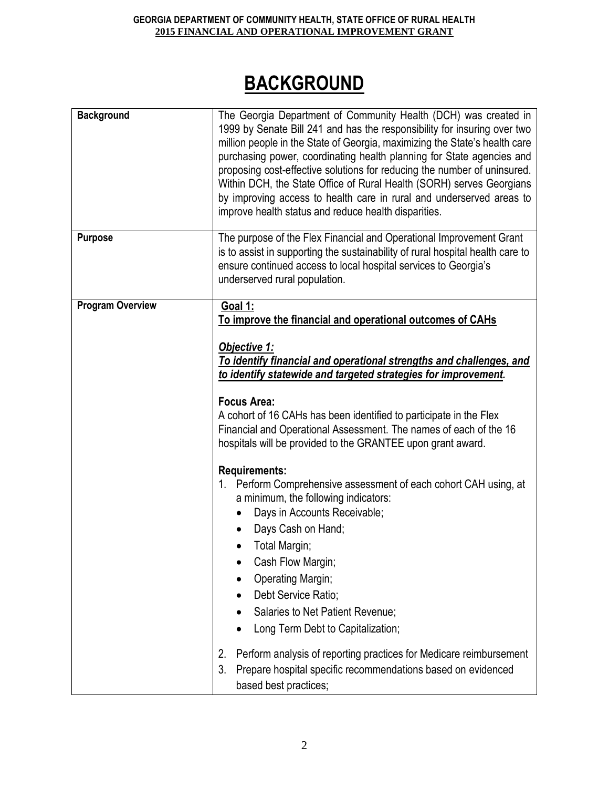# **BACKGROUND**

| <b>Background</b>       | The Georgia Department of Community Health (DCH) was created in<br>1999 by Senate Bill 241 and has the responsibility for insuring over two<br>million people in the State of Georgia, maximizing the State's health care<br>purchasing power, coordinating health planning for State agencies and<br>proposing cost-effective solutions for reducing the number of uninsured.<br>Within DCH, the State Office of Rural Health (SORH) serves Georgians<br>by improving access to health care in rural and underserved areas to<br>improve health status and reduce health disparities.                                                                                                                                                                                                      |
|-------------------------|---------------------------------------------------------------------------------------------------------------------------------------------------------------------------------------------------------------------------------------------------------------------------------------------------------------------------------------------------------------------------------------------------------------------------------------------------------------------------------------------------------------------------------------------------------------------------------------------------------------------------------------------------------------------------------------------------------------------------------------------------------------------------------------------|
| <b>Purpose</b>          | The purpose of the Flex Financial and Operational Improvement Grant<br>is to assist in supporting the sustainability of rural hospital health care to<br>ensure continued access to local hospital services to Georgia's<br>underserved rural population.                                                                                                                                                                                                                                                                                                                                                                                                                                                                                                                                   |
| <b>Program Overview</b> | <b>Goal 1:</b><br>To improve the financial and operational outcomes of CAHs<br>Objective 1:<br>To identify financial and operational strengths and challenges, and<br>to identify statewide and targeted strategies for improvement.<br><b>Focus Area:</b><br>A cohort of 16 CAHs has been identified to participate in the Flex<br>Financial and Operational Assessment. The names of each of the 16<br>hospitals will be provided to the GRANTEE upon grant award.<br><b>Requirements:</b><br>1. Perform Comprehensive assessment of each cohort CAH using, at<br>a minimum, the following indicators:<br>Days in Accounts Receivable;<br>Days Cash on Hand;<br>Total Margin;<br>Cash Flow Margin;<br><b>Operating Margin;</b><br>Debt Service Ratio;<br>Salaries to Net Patient Revenue; |
|                         | Long Term Debt to Capitalization;<br>Perform analysis of reporting practices for Medicare reimbursement<br>2.<br>3.<br>Prepare hospital specific recommendations based on evidenced<br>based best practices;                                                                                                                                                                                                                                                                                                                                                                                                                                                                                                                                                                                |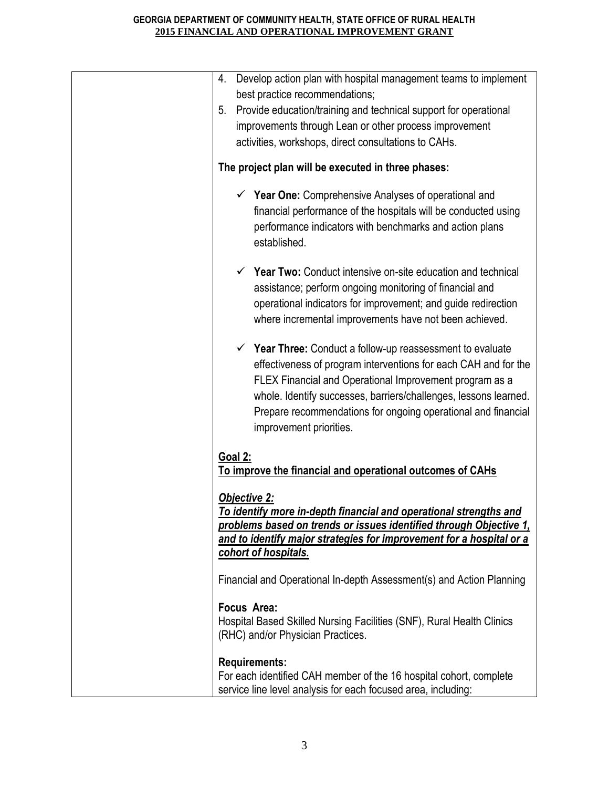| Develop action plan with hospital management teams to implement<br>4.<br>best practice recommendations;<br>Provide education/training and technical support for operational<br>5.<br>improvements through Lean or other process improvement<br>activities, workshops, direct consultations to CAHs.                                                                 |
|---------------------------------------------------------------------------------------------------------------------------------------------------------------------------------------------------------------------------------------------------------------------------------------------------------------------------------------------------------------------|
| The project plan will be executed in three phases:                                                                                                                                                                                                                                                                                                                  |
| $\checkmark$ Year One: Comprehensive Analyses of operational and<br>financial performance of the hospitals will be conducted using<br>performance indicators with benchmarks and action plans<br>established.                                                                                                                                                       |
| $\checkmark$ Year Two: Conduct intensive on-site education and technical<br>assistance; perform ongoing monitoring of financial and<br>operational indicators for improvement; and guide redirection<br>where incremental improvements have not been achieved.                                                                                                      |
| $\checkmark$ Year Three: Conduct a follow-up reassessment to evaluate<br>effectiveness of program interventions for each CAH and for the<br>FLEX Financial and Operational Improvement program as a<br>whole. Identify successes, barriers/challenges, lessons learned.<br>Prepare recommendations for ongoing operational and financial<br>improvement priorities. |
| Goal 2:<br>To improve the financial and operational outcomes of CAHs                                                                                                                                                                                                                                                                                                |
| <b>Objective 2:</b><br>To identify more in-depth financial and operational strengths and<br>problems based on trends or issues identified through Objective 1,<br>and to identify major strategies for improvement for a hospital or a<br>cohort of hospitals.                                                                                                      |
| Financial and Operational In-depth Assessment(s) and Action Planning                                                                                                                                                                                                                                                                                                |
| Focus Area:<br>Hospital Based Skilled Nursing Facilities (SNF), Rural Health Clinics<br>(RHC) and/or Physician Practices.                                                                                                                                                                                                                                           |
| <b>Requirements:</b><br>For each identified CAH member of the 16 hospital cohort, complete<br>service line level analysis for each focused area, including:                                                                                                                                                                                                         |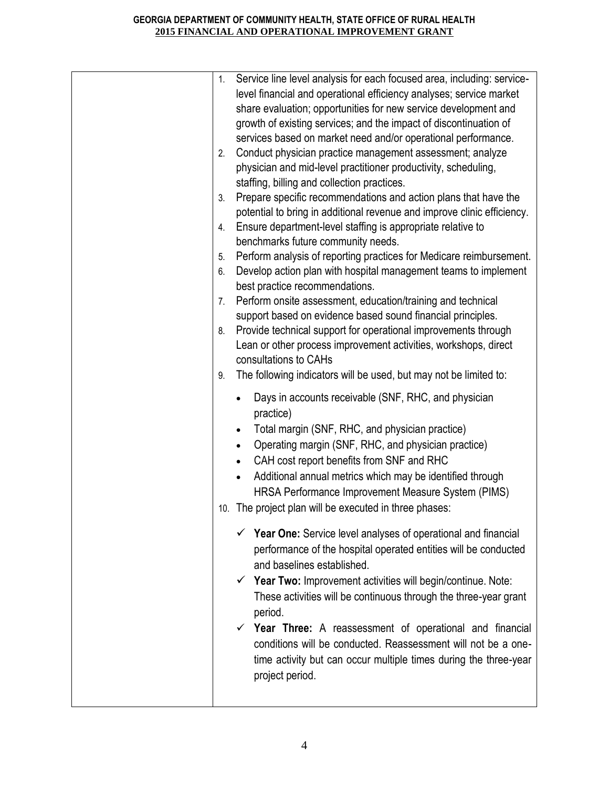| 1. | Service line level analysis for each focused area, including: service-                                                                                                                                                                                                                                                                                                                                             |
|----|--------------------------------------------------------------------------------------------------------------------------------------------------------------------------------------------------------------------------------------------------------------------------------------------------------------------------------------------------------------------------------------------------------------------|
|    | level financial and operational efficiency analyses; service market                                                                                                                                                                                                                                                                                                                                                |
|    | share evaluation; opportunities for new service development and                                                                                                                                                                                                                                                                                                                                                    |
|    | growth of existing services; and the impact of discontinuation of                                                                                                                                                                                                                                                                                                                                                  |
|    | services based on market need and/or operational performance.                                                                                                                                                                                                                                                                                                                                                      |
|    |                                                                                                                                                                                                                                                                                                                                                                                                                    |
| 2. | Conduct physician practice management assessment; analyze                                                                                                                                                                                                                                                                                                                                                          |
|    | physician and mid-level practitioner productivity, scheduling,                                                                                                                                                                                                                                                                                                                                                     |
|    | staffing, billing and collection practices.                                                                                                                                                                                                                                                                                                                                                                        |
| 3. | Prepare specific recommendations and action plans that have the                                                                                                                                                                                                                                                                                                                                                    |
|    | potential to bring in additional revenue and improve clinic efficiency.                                                                                                                                                                                                                                                                                                                                            |
| 4. | Ensure department-level staffing is appropriate relative to                                                                                                                                                                                                                                                                                                                                                        |
|    | benchmarks future community needs.                                                                                                                                                                                                                                                                                                                                                                                 |
| 5. | Perform analysis of reporting practices for Medicare reimbursement.                                                                                                                                                                                                                                                                                                                                                |
| 6. | Develop action plan with hospital management teams to implement<br>best practice recommendations.                                                                                                                                                                                                                                                                                                                  |
| 7. | Perform onsite assessment, education/training and technical                                                                                                                                                                                                                                                                                                                                                        |
|    | support based on evidence based sound financial principles.                                                                                                                                                                                                                                                                                                                                                        |
| 8. | Provide technical support for operational improvements through                                                                                                                                                                                                                                                                                                                                                     |
|    | Lean or other process improvement activities, workshops, direct                                                                                                                                                                                                                                                                                                                                                    |
|    | consultations to CAHs                                                                                                                                                                                                                                                                                                                                                                                              |
| 9. | The following indicators will be used, but may not be limited to:                                                                                                                                                                                                                                                                                                                                                  |
|    | Days in accounts receivable (SNF, RHC, and physician<br>practice)<br>Total margin (SNF, RHC, and physician practice)<br>Operating margin (SNF, RHC, and physician practice)<br>CAH cost report benefits from SNF and RHC<br>Additional annual metrics which may be identified through<br>$\bullet$<br>HRSA Performance Improvement Measure System (PIMS)<br>10. The project plan will be executed in three phases: |
|    | $\checkmark$ Year One: Service level analyses of operational and financial                                                                                                                                                                                                                                                                                                                                         |
|    | performance of the hospital operated entities will be conducted<br>and baselines established.                                                                                                                                                                                                                                                                                                                      |
|    | $\checkmark$ Year Two: Improvement activities will begin/continue. Note:<br>These activities will be continuous through the three-year grant<br>period.                                                                                                                                                                                                                                                            |
|    | $\checkmark$ Year Three: A reassessment of operational and financial<br>conditions will be conducted. Reassessment will not be a one-<br>time activity but can occur multiple times during the three-year<br>project period.                                                                                                                                                                                       |
|    |                                                                                                                                                                                                                                                                                                                                                                                                                    |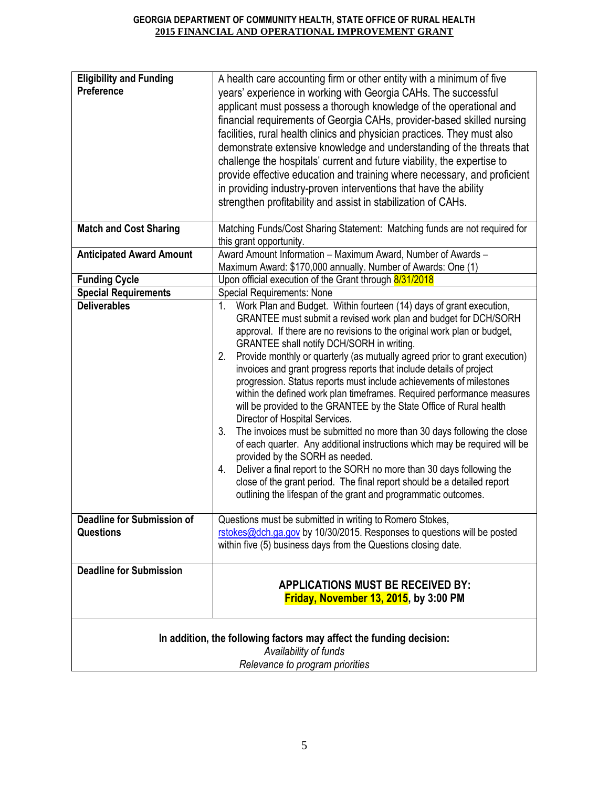|                                                       | Provide monthly or quarterly (as mutually agreed prior to grant execution)<br>invoices and grant progress reports that include details of project<br>progression. Status reports must include achievements of milestones<br>within the defined work plan timeframes. Required performance measures<br>will be provided to the GRANTEE by the State Office of Rural health<br>Director of Hospital Services.                |
|-------------------------------------------------------|----------------------------------------------------------------------------------------------------------------------------------------------------------------------------------------------------------------------------------------------------------------------------------------------------------------------------------------------------------------------------------------------------------------------------|
|                                                       | The invoices must be submitted no more than 30 days following the close<br>3.<br>of each quarter. Any additional instructions which may be required will be<br>provided by the SORH as needed.<br>Deliver a final report to the SORH no more than 30 days following the<br>4.<br>close of the grant period. The final report should be a detailed report<br>outlining the lifespan of the grant and programmatic outcomes. |
| <b>Deadline for Submission of</b><br><b>Questions</b> | Questions must be submitted in writing to Romero Stokes,<br>rstokes@dch.ga.gov by 10/30/2015. Responses to questions will be posted<br>within five (5) business days from the Questions closing date.                                                                                                                                                                                                                      |
| <b>Deadline for Submission</b>                        | <b>APPLICATIONS MUST BE RECEIVED BY:</b><br>Friday, November 13, 2015, by 3:00 PM                                                                                                                                                                                                                                                                                                                                          |
|                                                       | In addition, the following factors may affect the funding decision:<br>Availability of funds<br>Relevance to program priorities                                                                                                                                                                                                                                                                                            |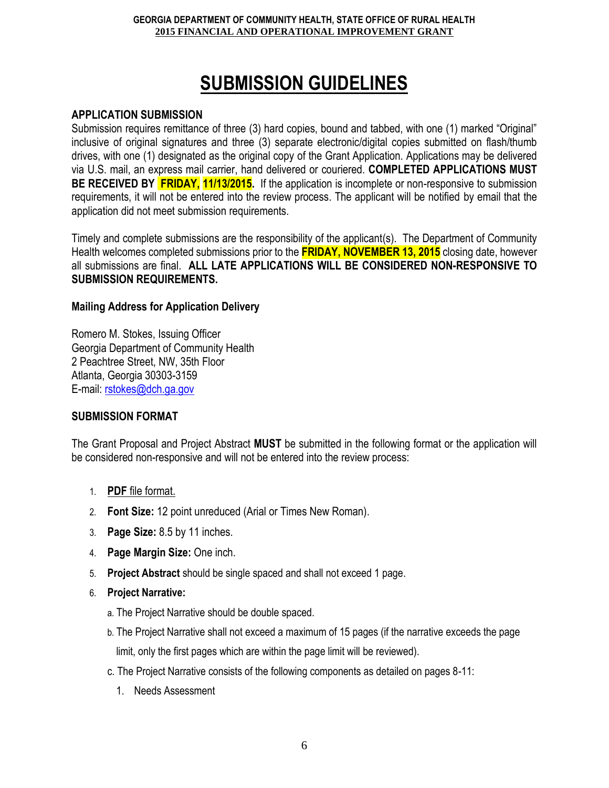# **SUBMISSION GUIDELINES**

#### **APPLICATION SUBMISSION**

Submission requires remittance of three (3) hard copies, bound and tabbed, with one (1) marked "Original" inclusive of original signatures and three (3) separate electronic/digital copies submitted on flash/thumb drives, with one (1) designated as the original copy of the Grant Application. Applications may be delivered via U.S. mail, an express mail carrier, hand delivered or couriered. **COMPLETED APPLICATIONS MUST BE RECEIVED BY FRIDAY, 11/13/2015.** If the application is incomplete or non-responsive to submission requirements, it will not be entered into the review process. The applicant will be notified by email that the application did not meet submission requirements.

Timely and complete submissions are the responsibility of the applicant(s). The Department of Community Health welcomes completed submissions prior to the **FRIDAY, NOVEMBER 13, 2015** closing date, however all submissions are final. **ALL LATE APPLICATIONS WILL BE CONSIDERED NON-RESPONSIVE TO SUBMISSION REQUIREMENTS.**

#### **Mailing Address for Application Delivery**

Romero M. Stokes, Issuing Officer Georgia Department of Community Health 2 Peachtree Street, NW, 35th Floor Atlanta, Georgia 30303-3159 E-mail: [rstokes@dch.ga.gov](mailto:rstokes@dch.ga.gov)

#### **SUBMISSION FORMAT**

The Grant Proposal and Project Abstract **MUST** be submitted in the following format or the application will be considered non-responsive and will not be entered into the review process:

- 1. **PDF** file format.
- 2. **Font Size:** 12 point unreduced (Arial or Times New Roman).
- 3. **Page Size:** 8.5 by 11 inches.
- 4. **Page Margin Size:** One inch.
- 5. **Project Abstract** should be single spaced and shall not exceed 1 page.
- 6. **Project Narrative:** 
	- a. The Project Narrative should be double spaced.
	- b. The Project Narrative shall not exceed a maximum of 15 pages (if the narrative exceeds the page limit, only the first pages which are within the page limit will be reviewed).
	- c. The Project Narrative consists of the following components as detailed on pages 8-11:
		- 1. Needs Assessment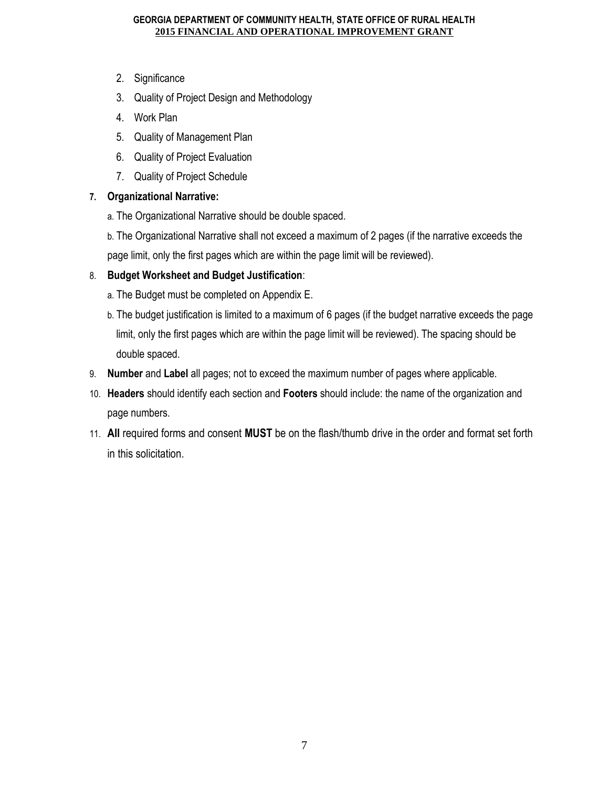- 2. Significance
- 3. Quality of Project Design and Methodology
- 4. Work Plan
- 5. Quality of Management Plan
- 6. Quality of Project Evaluation
- 7. Quality of Project Schedule

#### **7. Organizational Narrative:**

- a. The Organizational Narrative should be double spaced.
- b. The Organizational Narrative shall not exceed a maximum of 2 pages (if the narrative exceeds the page limit, only the first pages which are within the page limit will be reviewed).

### 8. **Budget Worksheet and Budget Justification**:

- a. The Budget must be completed on Appendix E.
- b. The budget justification is limited to a maximum of 6 pages (if the budget narrative exceeds the page limit, only the first pages which are within the page limit will be reviewed). The spacing should be double spaced.
- 9. **Number** and **Label** all pages; not to exceed the maximum number of pages where applicable.
- 10. **Headers** should identify each section and **Footers** should include: the name of the organization and page numbers.
- 11. **All** required forms and consent **MUST** be on the flash/thumb drive in the order and format set forth in this solicitation.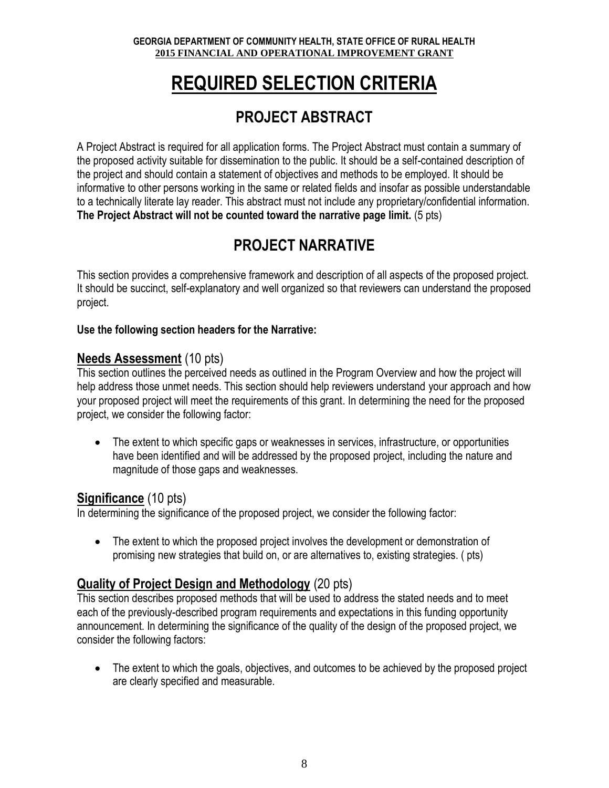# **REQUIRED SELECTION CRITERIA**

# **PROJECT ABSTRACT**

A Project Abstract is required for all application forms. The Project Abstract must contain a summary of the proposed activity suitable for dissemination to the public. It should be a self-contained description of the project and should contain a statement of objectives and methods to be employed. It should be informative to other persons working in the same or related fields and insofar as possible understandable to a technically literate lay reader. This abstract must not include any proprietary/confidential information. **The Project Abstract will not be counted toward the narrative page limit.** (5 pts)

# **PROJECT NARRATIVE**

This section provides a comprehensive framework and description of all aspects of the proposed project. It should be succinct, self-explanatory and well organized so that reviewers can understand the proposed project.

### **Use the following section headers for the Narrative:**

## **Needs Assessment** (10 pts)

This section outlines the perceived needs as outlined in the Program Overview and how the project will help address those unmet needs. This section should help reviewers understand your approach and how your proposed project will meet the requirements of this grant. In determining the need for the proposed project, we consider the following factor:

• The extent to which specific gaps or weaknesses in services, infrastructure, or opportunities have been identified and will be addressed by the proposed project, including the nature and magnitude of those gaps and weaknesses.

## **Significance** (10 pts)

In determining the significance of the proposed project, we consider the following factor:

• The extent to which the proposed project involves the development or demonstration of promising new strategies that build on, or are alternatives to, existing strategies. ( pts)

## **Quality of Project Design and Methodology** (20 pts)

This section describes proposed methods that will be used to address the stated needs and to meet each of the previously-described program requirements and expectations in this funding opportunity announcement. In determining the significance of the quality of the design of the proposed project, we consider the following factors:

• The extent to which the goals, objectives, and outcomes to be achieved by the proposed project are clearly specified and measurable.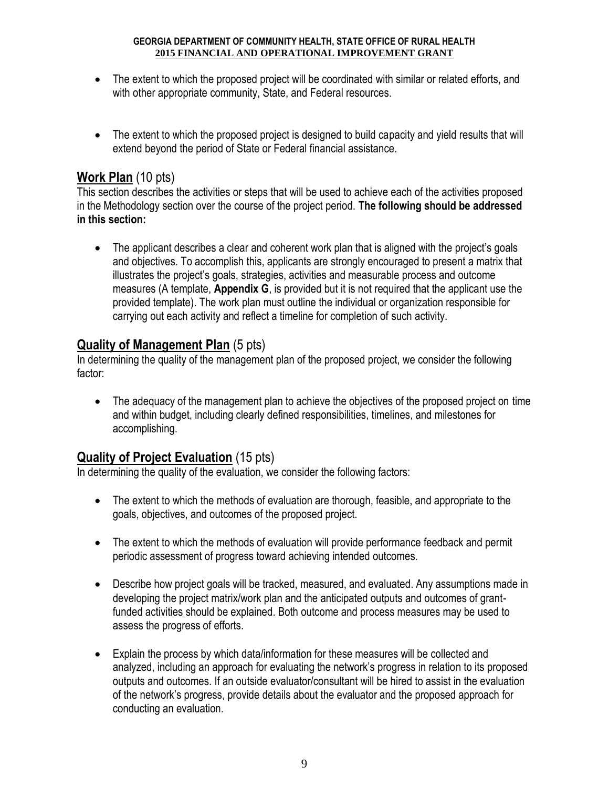- The extent to which the proposed project will be coordinated with similar or related efforts, and with other appropriate community, State, and Federal resources.
- The extent to which the proposed project is designed to build capacity and yield results that will extend beyond the period of State or Federal financial assistance.

## **Work Plan** (10 pts)

This section describes the activities or steps that will be used to achieve each of the activities proposed in the Methodology section over the course of the project period. **The following should be addressed in this section:**

• The applicant describes a clear and coherent work plan that is aligned with the project's goals and objectives. To accomplish this, applicants are strongly encouraged to present a matrix that illustrates the project's goals, strategies, activities and measurable process and outcome measures (A template, **Appendix G**, is provided but it is not required that the applicant use the provided template). The work plan must outline the individual or organization responsible for carrying out each activity and reflect a timeline for completion of such activity.

## **Quality of Management Plan** (5 pts)

In determining the quality of the management plan of the proposed project, we consider the following factor:

• The adequacy of the management plan to achieve the objectives of the proposed project on time and within budget, including clearly defined responsibilities, timelines, and milestones for accomplishing.

### **Quality of Project Evaluation** (15 pts)

In determining the quality of the evaluation, we consider the following factors:

- The extent to which the methods of evaluation are thorough, feasible, and appropriate to the goals, objectives, and outcomes of the proposed project.
- The extent to which the methods of evaluation will provide performance feedback and permit periodic assessment of progress toward achieving intended outcomes.
- Describe how project goals will be tracked, measured, and evaluated. Any assumptions made in developing the project matrix/work plan and the anticipated outputs and outcomes of grantfunded activities should be explained. Both outcome and process measures may be used to assess the progress of efforts.
- Explain the process by which data/information for these measures will be collected and analyzed, including an approach for evaluating the network's progress in relation to its proposed outputs and outcomes. If an outside evaluator/consultant will be hired to assist in the evaluation of the network's progress, provide details about the evaluator and the proposed approach for conducting an evaluation.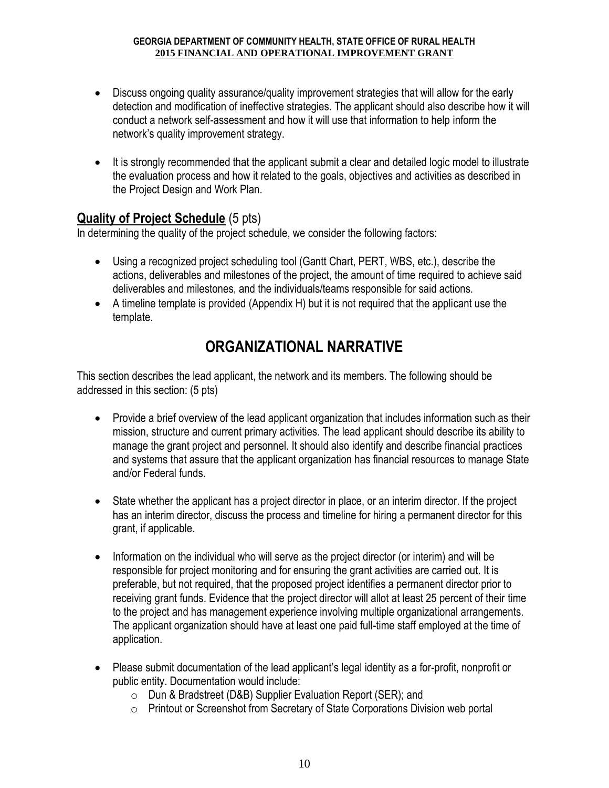- Discuss ongoing quality assurance/quality improvement strategies that will allow for the early detection and modification of ineffective strategies. The applicant should also describe how it will conduct a network self-assessment and how it will use that information to help inform the network's quality improvement strategy.
- It is strongly recommended that the applicant submit a clear and detailed logic model to illustrate the evaluation process and how it related to the goals, objectives and activities as described in the Project Design and Work Plan.

## **Quality of Project Schedule** (5 pts)

In determining the quality of the project schedule, we consider the following factors:

- Using a recognized project scheduling tool (Gantt Chart, PERT, WBS, etc.), describe the actions, deliverables and milestones of the project, the amount of time required to achieve said deliverables and milestones, and the individuals/teams responsible for said actions.
- A timeline template is provided (Appendix H) but it is not required that the applicant use the template.

## **ORGANIZATIONAL NARRATIVE**

This section describes the lead applicant, the network and its members. The following should be addressed in this section: (5 pts)

- Provide a brief overview of the lead applicant organization that includes information such as their mission, structure and current primary activities. The lead applicant should describe its ability to manage the grant project and personnel. It should also identify and describe financial practices and systems that assure that the applicant organization has financial resources to manage State and/or Federal funds.
- State whether the applicant has a project director in place, or an interim director. If the project has an interim director, discuss the process and timeline for hiring a permanent director for this grant, if applicable.
- Information on the individual who will serve as the project director (or interim) and will be responsible for project monitoring and for ensuring the grant activities are carried out. It is preferable, but not required, that the proposed project identifies a permanent director prior to receiving grant funds. Evidence that the project director will allot at least 25 percent of their time to the project and has management experience involving multiple organizational arrangements. The applicant organization should have at least one paid full-time staff employed at the time of application.
- Please submit documentation of the lead applicant's legal identity as a for-profit, nonprofit or public entity. Documentation would include:
	- o Dun & Bradstreet (D&B) Supplier Evaluation Report (SER); and
	- o Printout or Screenshot from Secretary of State Corporations Division web portal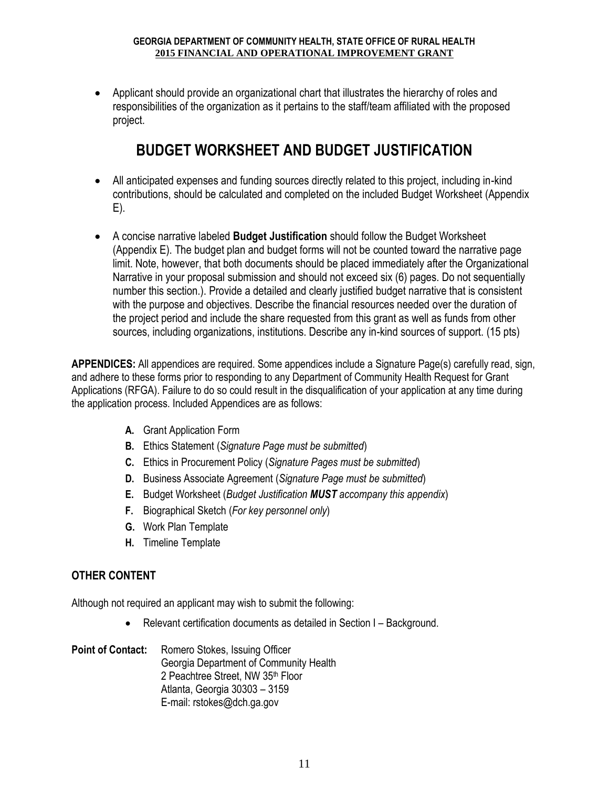Applicant should provide an organizational chart that illustrates the hierarchy of roles and responsibilities of the organization as it pertains to the staff/team affiliated with the proposed project.

# **BUDGET WORKSHEET AND BUDGET JUSTIFICATION**

- All anticipated expenses and funding sources directly related to this project, including in-kind contributions, should be calculated and completed on the included Budget Worksheet (Appendix E).
- A concise narrative labeled **Budget Justification** should follow the Budget Worksheet (Appendix E). The budget plan and budget forms will not be counted toward the narrative page limit. Note, however, that both documents should be placed immediately after the Organizational Narrative in your proposal submission and should not exceed six (6) pages. Do not sequentially number this section.). Provide a detailed and clearly justified budget narrative that is consistent with the purpose and objectives. Describe the financial resources needed over the duration of the project period and include the share requested from this grant as well as funds from other sources, including organizations, institutions. Describe any in-kind sources of support. (15 pts)

**APPENDICES:** All appendices are required. Some appendices include a Signature Page(s) carefully read, sign, and adhere to these forms prior to responding to any Department of Community Health Request for Grant Applications (RFGA). Failure to do so could result in the disqualification of your application at any time during the application process. Included Appendices are as follows:

- **A.** Grant Application Form
- **B.** Ethics Statement (*Signature Page must be submitted*)
- **C.** Ethics in Procurement Policy (*Signature Pages must be submitted*)
- **D.** Business Associate Agreement (*Signature Page must be submitted*)
- **E.** Budget Worksheet (*Budget Justification MUST accompany this appendix*)
- **F.** Biographical Sketch (*For key personnel only*)
- **G.** Work Plan Template
- **H.** Timeline Template

### **OTHER CONTENT**

Although not required an applicant may wish to submit the following:

Relevant certification documents as detailed in Section I – Background.

#### Point of Contact: Romero Stokes, Issuing Officer Georgia Department of Community Health 2 Peachtree Street, NW 35th Floor Atlanta, Georgia 30303 – 3159 E-mail: rstokes@dch.ga.gov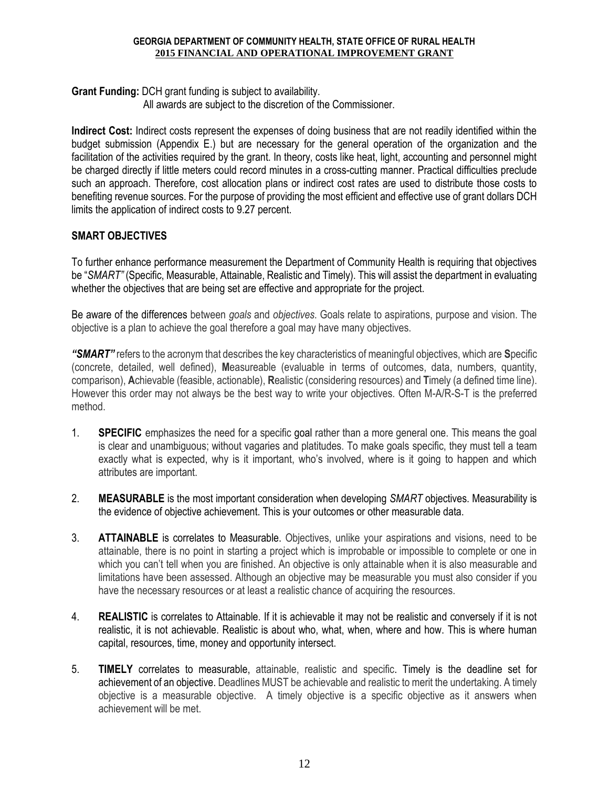**Grant Funding:** DCH grant funding is subject to availability.

All awards are subject to the discretion of the Commissioner.

**Indirect Cost:** Indirect costs represent the expenses of doing business that are not readily identified within the budget submission (Appendix E.) but are necessary for the general operation of the organization and the facilitation of the activities required by the grant. In theory, costs like heat, light, accounting and personnel might be charged directly if little meters could record minutes in a cross-cutting manner. Practical difficulties preclude such an approach. Therefore, cost allocation plans or indirect cost rates are used to distribute those costs to benefiting revenue sources. For the purpose of providing the most efficient and effective use of grant dollars DCH limits the application of indirect costs to 9.27 percent.

#### **SMART OBJECTIVES**

To further enhance performance measurement the Department of Community Health is requiring that objectives be "*SMART"* (Specific, Measurable, Attainable, Realistic and Timely). This will assist the department in evaluating whether the objectives that are being set are effective and appropriate for the project.

Be aware of the differences between *goals* and *objectives*. Goals relate to aspirations, purpose and vision. The objective is a plan to achieve the goal therefore a goal may have many objectives.

*"SMART"* refers to the acronym that describes the key characteristics of meaningful objectives, which are **S**pecific (concrete, detailed, well defined), **M**easureable (evaluable in terms of outcomes, data, numbers, quantity, comparison), **A**chievable (feasible, actionable), **R**ealistic (considering resources) and **T**imely (a defined time line). However this order may not always be the best way to write your objectives. Often M-A/R-S-T is the preferred method.

- 1. **SPECIFIC** emphasizes the need for a specific goal rather than a more general one. This means the goal is clear and unambiguous; without vagaries and platitudes. To make goals specific, they must tell a team exactly what is expected, why is it important, who's involved, where is it going to happen and which attributes are important.
- 2. **MEASURABLE** is the most important consideration when developing *SMART* objectives. Measurability is the evidence of objective achievement. This is your outcomes or other measurable data.
- 3. **ATTAINABLE** is correlates to Measurable. Objectives, unlike your aspirations and visions, need to be attainable, there is no point in starting a project which is improbable or impossible to complete or one in which you can't tell when you are finished. An objective is only attainable when it is also measurable and limitations have been assessed. Although an objective may be measurable you must also consider if you have the necessary resources or at least a realistic chance of acquiring the resources.
- 4. **REALISTIC** is correlates to Attainable. If it is achievable it may not be realistic and conversely if it is not realistic, it is not achievable. Realistic is about who, what, when, where and how. This is where human capital, resources, time, money and opportunity intersect.
- 5. **TIMELY** correlates to measurable, attainable, realistic and specific. Timely is the deadline set for achievement of an objective. Deadlines MUST be achievable and realistic to merit the undertaking. A timely objective is a measurable objective. A timely objective is a specific objective as it answers when achievement will be met.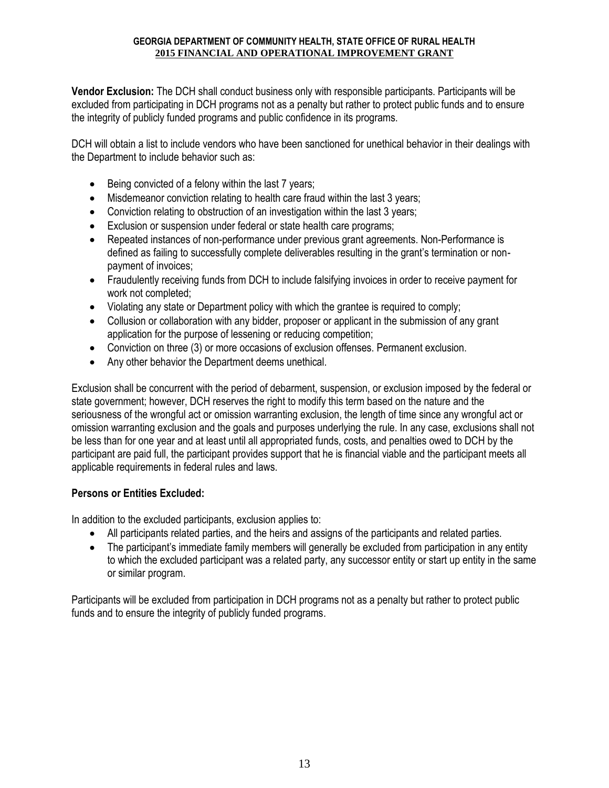**Vendor Exclusion:** The DCH shall conduct business only with responsible participants. Participants will be excluded from participating in DCH programs not as a penalty but rather to protect public funds and to ensure the integrity of publicly funded programs and public confidence in its programs.

DCH will obtain a list to include vendors who have been sanctioned for unethical behavior in their dealings with the Department to include behavior such as:

- $\bullet$  Being convicted of a felony within the last 7 years;
- Misdemeanor conviction relating to health care fraud within the last 3 years;
- Conviction relating to obstruction of an investigation within the last 3 years;
- Exclusion or suspension under federal or state health care programs;
- Repeated instances of non-performance under previous grant agreements. Non-Performance is defined as failing to successfully complete deliverables resulting in the grant's termination or nonpayment of invoices;
- Fraudulently receiving funds from DCH to include falsifying invoices in order to receive payment for work not completed;
- Violating any state or Department policy with which the grantee is required to comply;
- Collusion or collaboration with any bidder, proposer or applicant in the submission of any grant application for the purpose of lessening or reducing competition;
- Conviction on three (3) or more occasions of exclusion offenses. Permanent exclusion.
- Any other behavior the Department deems unethical.

Exclusion shall be concurrent with the period of debarment, suspension, or exclusion imposed by the federal or state government; however, DCH reserves the right to modify this term based on the nature and the seriousness of the wrongful act or omission warranting exclusion, the length of time since any wrongful act or omission warranting exclusion and the goals and purposes underlying the rule. In any case, exclusions shall not be less than for one year and at least until all appropriated funds, costs, and penalties owed to DCH by the participant are paid full, the participant provides support that he is financial viable and the participant meets all applicable requirements in federal rules and laws.

#### **Persons or Entities Excluded:**

In addition to the excluded participants, exclusion applies to:

- All participants related parties, and the heirs and assigns of the participants and related parties.
- The participant's immediate family members will generally be excluded from participation in any entity to which the excluded participant was a related party, any successor entity or start up entity in the same or similar program.

Participants will be excluded from participation in DCH programs not as a penalty but rather to protect public funds and to ensure the integrity of publicly funded programs.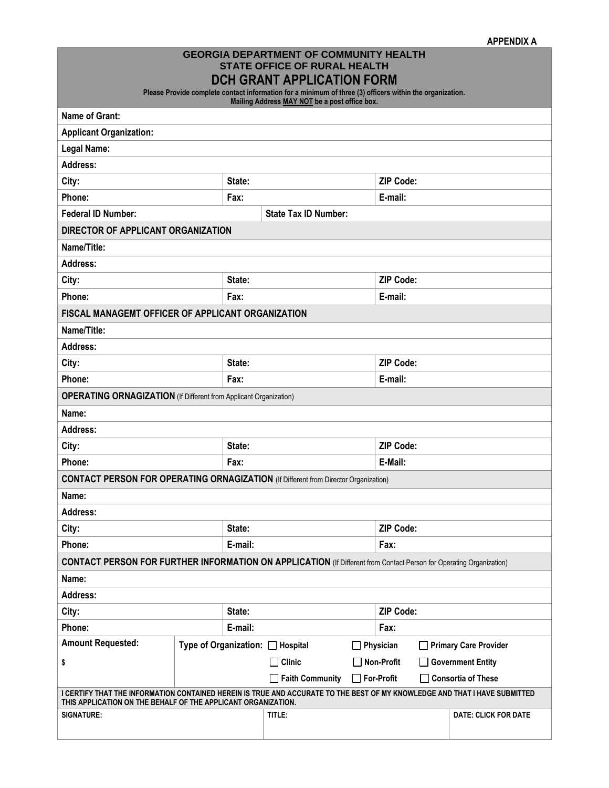| APPENDIX A |  |
|------------|--|
|------------|--|

#### **GEORGIA DEPARTMENT OF COMMUNITY HEALTH STATE OFFICE OF RURAL HEALTH DCH GRANT APPLICATION FORM**

**Please Provide complete contact information for a minimum of three (3) officers within the organization.** 

**Mailing Address MAY NOT be a post office box.**

|                                                                                                                                                                                             |         |         | <b>Mannig Address MAT NOT be a post unite box.</b> |                  |                                                                                                                            |  |
|---------------------------------------------------------------------------------------------------------------------------------------------------------------------------------------------|---------|---------|----------------------------------------------------|------------------|----------------------------------------------------------------------------------------------------------------------------|--|
| <b>Name of Grant:</b>                                                                                                                                                                       |         |         |                                                    |                  |                                                                                                                            |  |
| <b>Applicant Organization:</b>                                                                                                                                                              |         |         |                                                    |                  |                                                                                                                            |  |
| <b>Legal Name:</b>                                                                                                                                                                          |         |         |                                                    |                  |                                                                                                                            |  |
| <b>Address:</b>                                                                                                                                                                             |         |         |                                                    |                  |                                                                                                                            |  |
| City:                                                                                                                                                                                       |         | State:  |                                                    |                  | <b>ZIP Code:</b>                                                                                                           |  |
| Phone:                                                                                                                                                                                      |         | Fax:    |                                                    |                  | E-mail:                                                                                                                    |  |
| <b>Federal ID Number:</b>                                                                                                                                                                   |         |         | <b>State Tax ID Number:</b>                        |                  |                                                                                                                            |  |
| DIRECTOR OF APPLICANT ORGANIZATION                                                                                                                                                          |         |         |                                                    |                  |                                                                                                                            |  |
| Name/Title:                                                                                                                                                                                 |         |         |                                                    |                  |                                                                                                                            |  |
| Address:                                                                                                                                                                                    |         |         |                                                    |                  |                                                                                                                            |  |
| City:                                                                                                                                                                                       |         | State:  |                                                    |                  | <b>ZIP Code:</b>                                                                                                           |  |
| Phone:                                                                                                                                                                                      |         | Fax:    |                                                    |                  | E-mail:                                                                                                                    |  |
| FISCAL MANAGEMT OFFICER OF APPLICANT ORGANIZATION                                                                                                                                           |         |         |                                                    |                  |                                                                                                                            |  |
| Name/Title:                                                                                                                                                                                 |         |         |                                                    |                  |                                                                                                                            |  |
| Address:                                                                                                                                                                                    |         |         |                                                    |                  |                                                                                                                            |  |
| City:                                                                                                                                                                                       |         | State:  |                                                    |                  | <b>ZIP Code:</b>                                                                                                           |  |
| Phone:                                                                                                                                                                                      |         | Fax:    |                                                    |                  | E-mail:                                                                                                                    |  |
| <b>OPERATING ORNAGIZATION</b> (If Different from Applicant Organization)                                                                                                                    |         |         |                                                    |                  |                                                                                                                            |  |
| Name:                                                                                                                                                                                       |         |         |                                                    |                  |                                                                                                                            |  |
| <b>Address:</b>                                                                                                                                                                             |         |         |                                                    |                  |                                                                                                                            |  |
| City:                                                                                                                                                                                       |         | State:  |                                                    |                  | <b>ZIP Code:</b>                                                                                                           |  |
| Phone:                                                                                                                                                                                      |         | Fax:    |                                                    |                  | E-Mail:                                                                                                                    |  |
| <b>CONTACT PERSON FOR OPERATING ORNAGIZATION</b> (If Different from Director Organization)                                                                                                  |         |         |                                                    |                  |                                                                                                                            |  |
| Name:                                                                                                                                                                                       |         |         |                                                    |                  |                                                                                                                            |  |
| Address:                                                                                                                                                                                    |         |         |                                                    |                  |                                                                                                                            |  |
| City:                                                                                                                                                                                       |         | State:  |                                                    | <b>ZIP Code:</b> |                                                                                                                            |  |
| Phone:                                                                                                                                                                                      |         | E-mail: | Fax:                                               |                  |                                                                                                                            |  |
|                                                                                                                                                                                             |         |         |                                                    |                  | <b>CONTACT PERSON FOR FURTHER INFORMATION ON APPLICATION</b> (If Different from Contact Person for Operating Organization) |  |
| Name:                                                                                                                                                                                       |         |         |                                                    |                  |                                                                                                                            |  |
| <b>Address:</b>                                                                                                                                                                             |         |         |                                                    |                  |                                                                                                                            |  |
| State:<br>City:                                                                                                                                                                             |         |         |                                                    |                  | <b>ZIP Code:</b>                                                                                                           |  |
| Phone:                                                                                                                                                                                      | E-mail: | Fax:    |                                                    |                  |                                                                                                                            |  |
| <b>Amount Requested:</b>                                                                                                                                                                    |         |         | Type of Organization: □ Hospital                   | ΙI               | Physician<br><b>Primary Care Provider</b><br>$\mathbf{I}$                                                                  |  |
| \$                                                                                                                                                                                          |         |         | <b>Clinic</b><br>$\blacksquare$                    |                  | Non-Profit<br><b>Government Entity</b>                                                                                     |  |
|                                                                                                                                                                                             |         |         | $\Box$ Faith Community                             | $\Box$           | <b>For-Profit</b><br><b>Consortia of These</b>                                                                             |  |
| I CERTIFY THAT THE INFORMATION CONTAINED HEREIN IS TRUE AND ACCURATE TO THE BEST OF MY KNOWLEDGE AND THAT I HAVE SUBMITTED<br>THIS APPLICATION ON THE BEHALF OF THE APPLICANT ORGANIZATION. |         |         |                                                    |                  |                                                                                                                            |  |
| <b>SIGNATURE:</b>                                                                                                                                                                           |         |         | TITLE:                                             |                  | DATE: CLICK FOR DATE                                                                                                       |  |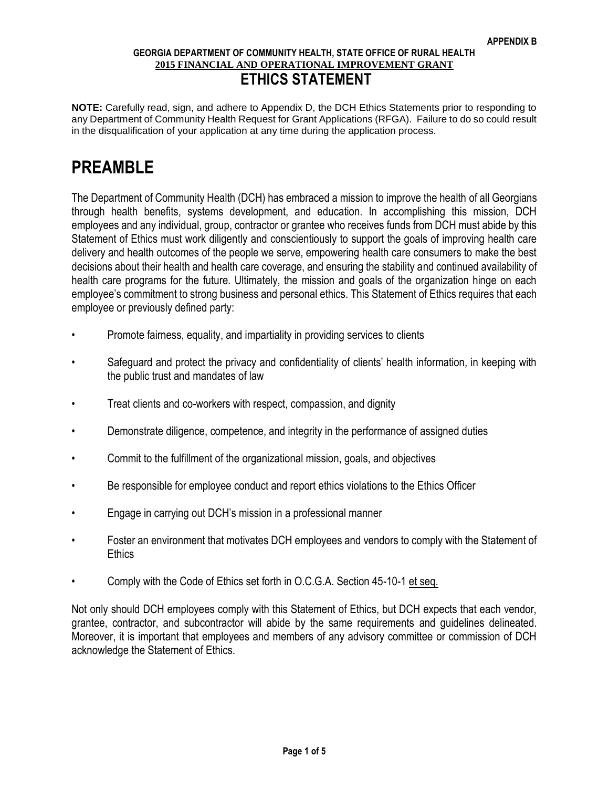**NOTE:** Carefully read, sign, and adhere to Appendix D, the DCH Ethics Statements prior to responding to any Department of Community Health Request for Grant Applications (RFGA). Failure to do so could result in the disqualification of your application at any time during the application process.

# **PREAMBLE**

The Department of Community Health (DCH) has embraced a mission to improve the health of all Georgians through health benefits, systems development, and education. In accomplishing this mission, DCH employees and any individual, group, contractor or grantee who receives funds from DCH must abide by this Statement of Ethics must work diligently and conscientiously to support the goals of improving health care delivery and health outcomes of the people we serve, empowering health care consumers to make the best decisions about their health and health care coverage, and ensuring the stability and continued availability of health care programs for the future. Ultimately, the mission and goals of the organization hinge on each employee's commitment to strong business and personal ethics. This Statement of Ethics requires that each employee or previously defined party:

- Promote fairness, equality, and impartiality in providing services to clients
- Safeguard and protect the privacy and confidentiality of clients' health information, in keeping with the public trust and mandates of law
- Treat clients and co-workers with respect, compassion, and dignity
- Demonstrate diligence, competence, and integrity in the performance of assigned duties
- Commit to the fulfillment of the organizational mission, goals, and objectives
- Be responsible for employee conduct and report ethics violations to the Ethics Officer
- Engage in carrying out DCH's mission in a professional manner
- Foster an environment that motivates DCH employees and vendors to comply with the Statement of **Ethics**
- Comply with the Code of Ethics set forth in O.C.G.A. Section 45-10-1 et seq.

Not only should DCH employees comply with this Statement of Ethics, but DCH expects that each vendor, grantee, contractor, and subcontractor will abide by the same requirements and guidelines delineated. Moreover, it is important that employees and members of any advisory committee or commission of DCH acknowledge the Statement of Ethics.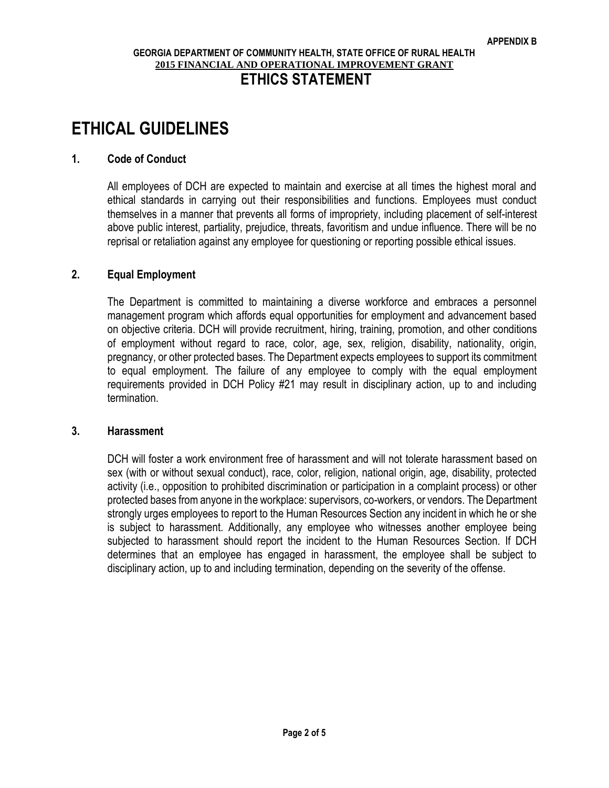# **ETHICAL GUIDELINES**

#### **1. Code of Conduct**

All employees of DCH are expected to maintain and exercise at all times the highest moral and ethical standards in carrying out their responsibilities and functions. Employees must conduct themselves in a manner that prevents all forms of impropriety, including placement of self-interest above public interest, partiality, prejudice, threats, favoritism and undue influence. There will be no reprisal or retaliation against any employee for questioning or reporting possible ethical issues.

#### **2. Equal Employment**

The Department is committed to maintaining a diverse workforce and embraces a personnel management program which affords equal opportunities for employment and advancement based on objective criteria. DCH will provide recruitment, hiring, training, promotion, and other conditions of employment without regard to race, color, age, sex, religion, disability, nationality, origin, pregnancy, or other protected bases. The Department expects employees to support its commitment to equal employment. The failure of any employee to comply with the equal employment requirements provided in DCH Policy #21 may result in disciplinary action, up to and including termination.

#### **3. Harassment**

DCH will foster a work environment free of harassment and will not tolerate harassment based on sex (with or without sexual conduct), race, color, religion, national origin, age, disability, protected activity (i.e., opposition to prohibited discrimination or participation in a complaint process) or other protected bases from anyone in the workplace: supervisors, co-workers, or vendors. The Department strongly urges employees to report to the Human Resources Section any incident in which he or she is subject to harassment. Additionally, any employee who witnesses another employee being subjected to harassment should report the incident to the Human Resources Section. If DCH determines that an employee has engaged in harassment, the employee shall be subject to disciplinary action, up to and including termination, depending on the severity of the offense.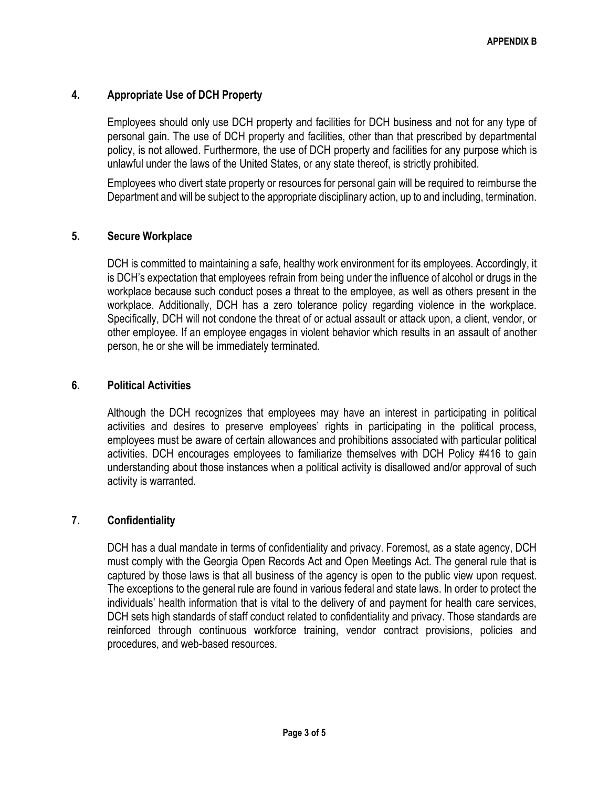#### **4. Appropriate Use of DCH Property**

Employees should only use DCH property and facilities for DCH business and not for any type of personal gain. The use of DCH property and facilities, other than that prescribed by departmental policy, is not allowed. Furthermore, the use of DCH property and facilities for any purpose which is unlawful under the laws of the United States, or any state thereof, is strictly prohibited.

Employees who divert state property or resources for personal gain will be required to reimburse the Department and will be subject to the appropriate disciplinary action, up to and including, termination.

#### **5. Secure Workplace**

DCH is committed to maintaining a safe, healthy work environment for its employees. Accordingly, it is DCH's expectation that employees refrain from being under the influence of alcohol or drugs in the workplace because such conduct poses a threat to the employee, as well as others present in the workplace. Additionally, DCH has a zero tolerance policy regarding violence in the workplace. Specifically, DCH will not condone the threat of or actual assault or attack upon, a client, vendor, or other employee. If an employee engages in violent behavior which results in an assault of another person, he or she will be immediately terminated.

#### **6. Political Activities**

Although the DCH recognizes that employees may have an interest in participating in political activities and desires to preserve employees' rights in participating in the political process, employees must be aware of certain allowances and prohibitions associated with particular political activities. DCH encourages employees to familiarize themselves with DCH Policy #416 to gain understanding about those instances when a political activity is disallowed and/or approval of such activity is warranted.

#### **7. Confidentiality**

DCH has a dual mandate in terms of confidentiality and privacy. Foremost, as a state agency, DCH must comply with the Georgia Open Records Act and Open Meetings Act. The general rule that is captured by those laws is that all business of the agency is open to the public view upon request. The exceptions to the general rule are found in various federal and state laws. In order to protect the individuals' health information that is vital to the delivery of and payment for health care services, DCH sets high standards of staff conduct related to confidentiality and privacy. Those standards are reinforced through continuous workforce training, vendor contract provisions, policies and procedures, and web-based resources.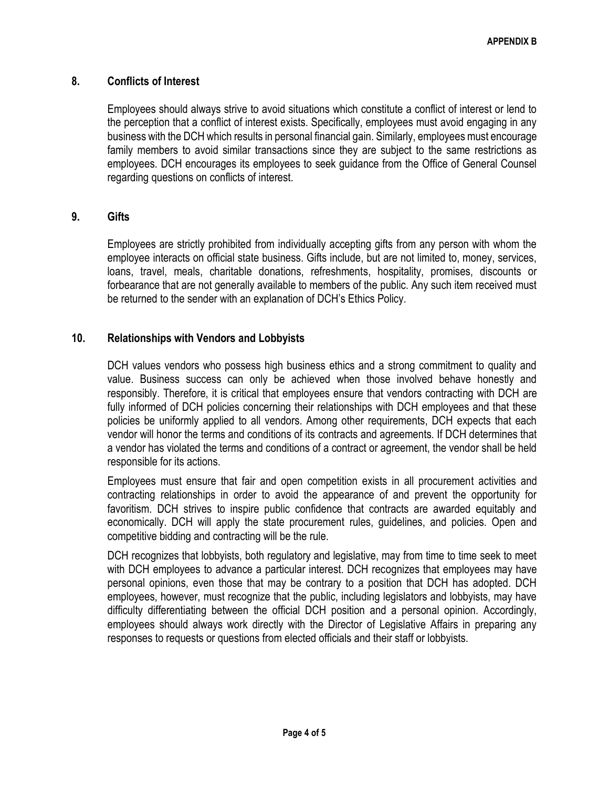#### **8. Conflicts of Interest**

Employees should always strive to avoid situations which constitute a conflict of interest or lend to the perception that a conflict of interest exists. Specifically, employees must avoid engaging in any business with the DCH which results in personal financial gain. Similarly, employees must encourage family members to avoid similar transactions since they are subject to the same restrictions as employees. DCH encourages its employees to seek guidance from the Office of General Counsel regarding questions on conflicts of interest.

#### **9. Gifts**

Employees are strictly prohibited from individually accepting gifts from any person with whom the employee interacts on official state business. Gifts include, but are not limited to, money, services, loans, travel, meals, charitable donations, refreshments, hospitality, promises, discounts or forbearance that are not generally available to members of the public. Any such item received must be returned to the sender with an explanation of DCH's Ethics Policy.

#### **10. Relationships with Vendors and Lobbyists**

DCH values vendors who possess high business ethics and a strong commitment to quality and value. Business success can only be achieved when those involved behave honestly and responsibly. Therefore, it is critical that employees ensure that vendors contracting with DCH are fully informed of DCH policies concerning their relationships with DCH employees and that these policies be uniformly applied to all vendors. Among other requirements, DCH expects that each vendor will honor the terms and conditions of its contracts and agreements. If DCH determines that a vendor has violated the terms and conditions of a contract or agreement, the vendor shall be held responsible for its actions.

Employees must ensure that fair and open competition exists in all procurement activities and contracting relationships in order to avoid the appearance of and prevent the opportunity for favoritism. DCH strives to inspire public confidence that contracts are awarded equitably and economically. DCH will apply the state procurement rules, guidelines, and policies. Open and competitive bidding and contracting will be the rule.

DCH recognizes that lobbyists, both regulatory and legislative, may from time to time seek to meet with DCH employees to advance a particular interest. DCH recognizes that employees may have personal opinions, even those that may be contrary to a position that DCH has adopted. DCH employees, however, must recognize that the public, including legislators and lobbyists, may have difficulty differentiating between the official DCH position and a personal opinion. Accordingly, employees should always work directly with the Director of Legislative Affairs in preparing any responses to requests or questions from elected officials and their staff or lobbyists.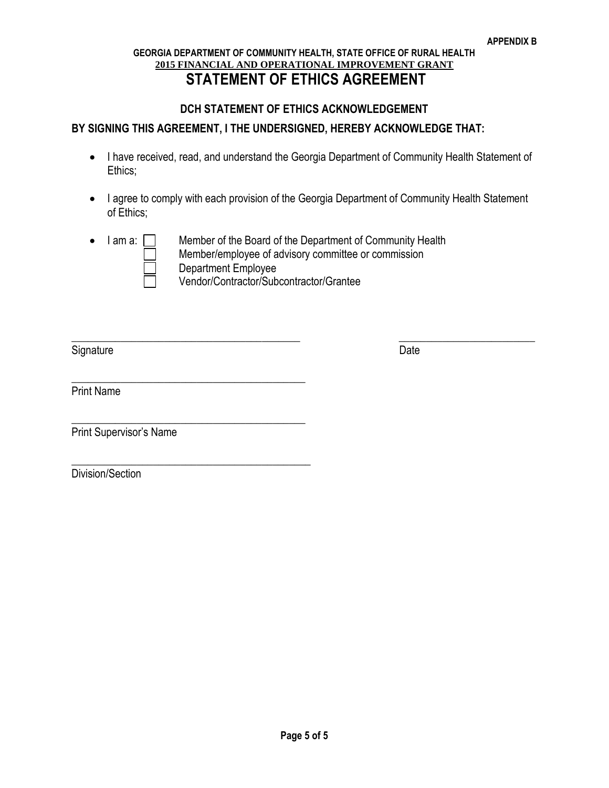#### **GEORGIA DEPARTMENT OF COMMUNITY HEALTH, STATE OFFICE OF RURAL HEALTH 2015 FINANCIAL AND OPERATIONAL IMPROVEMENT GRANT STATEMENT OF ETHICS AGREEMENT**

#### **DCH STATEMENT OF ETHICS ACKNOWLEDGEMENT**

#### **BY SIGNING THIS AGREEMENT, I THE UNDERSIGNED, HEREBY ACKNOWLEDGE THAT:**

- I have received, read, and understand the Georgia Department of Community Health Statement of Ethics;
- I agree to comply with each provision of the Georgia Department of Community Health Statement of Ethics;
- 

 $\bullet$  I am a:  $\Box$  Member of the Board of the Department of Community Health Member/employee of advisory committee or commission Department Employee Vendor/Contractor/Subcontractor/Grantee

 $\_$  , and the set of the set of the set of the set of the set of the set of the set of the set of the set of the set of the set of the set of the set of the set of the set of the set of the set of the set of the set of th

Signature Date

Print Name

Print Supervisor's Name

\_\_\_\_\_\_\_\_\_\_\_\_\_\_\_\_\_\_\_\_\_\_\_\_\_\_\_\_\_\_\_\_\_\_\_\_\_\_\_\_\_\_\_

\_\_\_\_\_\_\_\_\_\_\_\_\_\_\_\_\_\_\_\_\_\_\_\_\_\_\_\_\_\_\_\_\_\_\_\_\_\_\_\_\_\_\_

\_\_\_\_\_\_\_\_\_\_\_\_\_\_\_\_\_\_\_\_\_\_\_\_\_\_\_\_\_\_\_\_\_\_\_\_\_\_\_\_\_\_\_\_

Division/Section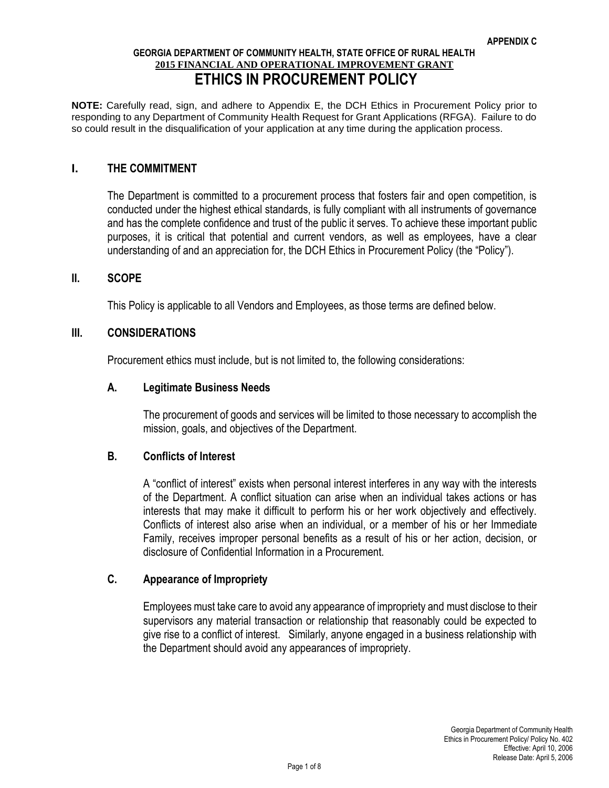**NOTE:** Carefully read, sign, and adhere to Appendix E, the DCH Ethics in Procurement Policy prior to responding to any Department of Community Health Request for Grant Applications (RFGA). Failure to do so could result in the disqualification of your application at any time during the application process.

#### **I. THE COMMITMENT**

The Department is committed to a procurement process that fosters fair and open competition, is conducted under the highest ethical standards, is fully compliant with all instruments of governance and has the complete confidence and trust of the public it serves. To achieve these important public purposes, it is critical that potential and current vendors, as well as employees, have a clear understanding of and an appreciation for, the DCH Ethics in Procurement Policy (the "Policy").

#### **II. SCOPE**

This Policy is applicable to all Vendors and Employees, as those terms are defined below.

#### **III. CONSIDERATIONS**

Procurement ethics must include, but is not limited to, the following considerations:

#### **A. Legitimate Business Needs**

The procurement of goods and services will be limited to those necessary to accomplish the mission, goals, and objectives of the Department.

#### **B. Conflicts of Interest**

A "conflict of interest" exists when personal interest interferes in any way with the interests of the Department. A conflict situation can arise when an individual takes actions or has interests that may make it difficult to perform his or her work objectively and effectively. Conflicts of interest also arise when an individual, or a member of his or her Immediate Family, receives improper personal benefits as a result of his or her action, decision, or disclosure of Confidential Information in a Procurement.

#### **C. Appearance of Impropriety**

Employees must take care to avoid any appearance of impropriety and must disclose to their supervisors any material transaction or relationship that reasonably could be expected to give rise to a conflict of interest. Similarly, anyone engaged in a business relationship with the Department should avoid any appearances of impropriety.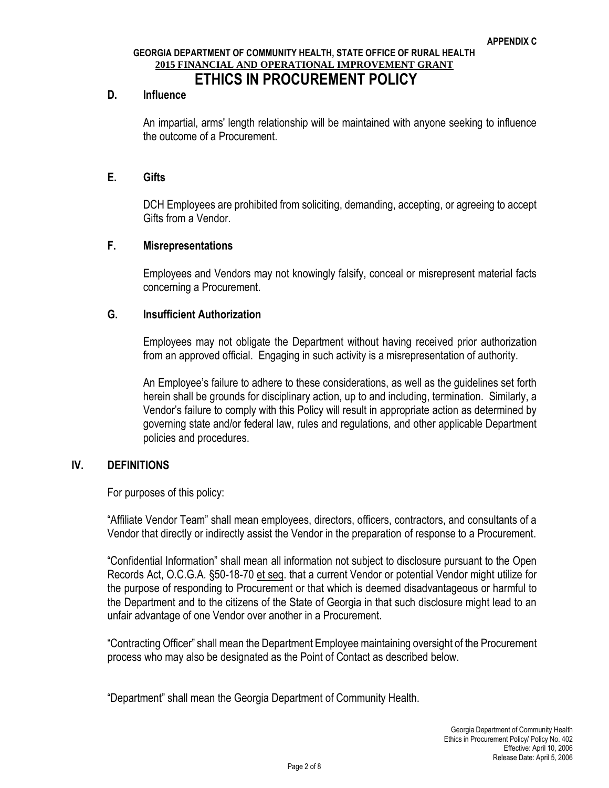#### **D. Influence**

An impartial, arms' length relationship will be maintained with anyone seeking to influence the outcome of a Procurement.

#### **E. Gifts**

DCH Employees are prohibited from soliciting, demanding, accepting, or agreeing to accept Gifts from a Vendor.

#### **F. Misrepresentations**

Employees and Vendors may not knowingly falsify, conceal or misrepresent material facts concerning a Procurement.

#### **G. Insufficient Authorization**

Employees may not obligate the Department without having received prior authorization from an approved official. Engaging in such activity is a misrepresentation of authority.

An Employee's failure to adhere to these considerations, as well as the guidelines set forth herein shall be grounds for disciplinary action, up to and including, termination. Similarly, a Vendor's failure to comply with this Policy will result in appropriate action as determined by governing state and/or federal law, rules and regulations, and other applicable Department policies and procedures.

#### **IV. DEFINITIONS**

For purposes of this policy:

"Affiliate Vendor Team" shall mean employees, directors, officers, contractors, and consultants of a Vendor that directly or indirectly assist the Vendor in the preparation of response to a Procurement.

"Confidential Information" shall mean all information not subject to disclosure pursuant to the Open Records Act, O.C.G.A. §50-18-70 et seq. that a current Vendor or potential Vendor might utilize for the purpose of responding to Procurement or that which is deemed disadvantageous or harmful to the Department and to the citizens of the State of Georgia in that such disclosure might lead to an unfair advantage of one Vendor over another in a Procurement.

"Contracting Officer" shall mean the Department Employee maintaining oversight of the Procurement process who may also be designated as the Point of Contact as described below.

"Department" shall mean the Georgia Department of Community Health.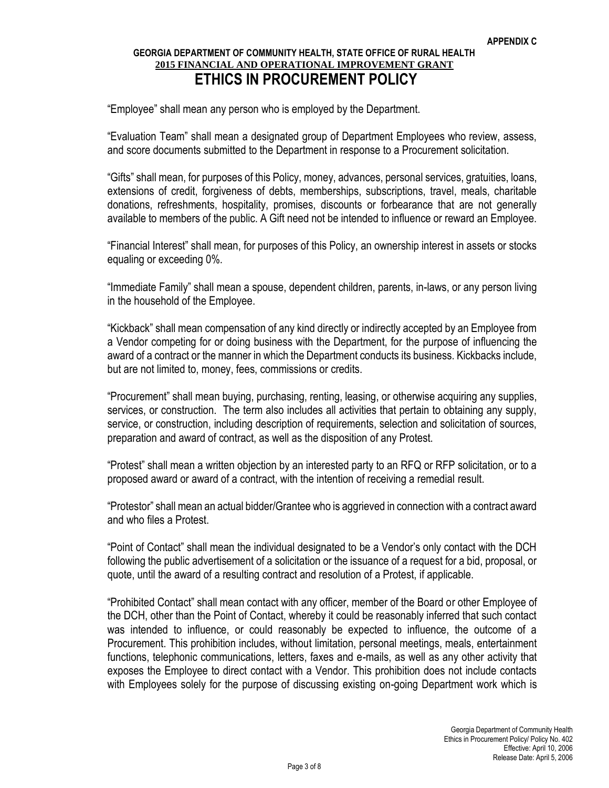"Employee" shall mean any person who is employed by the Department.

"Evaluation Team" shall mean a designated group of Department Employees who review, assess, and score documents submitted to the Department in response to a Procurement solicitation.

"Gifts" shall mean, for purposes of this Policy, money, advances, personal services, gratuities, loans, extensions of credit, forgiveness of debts, memberships, subscriptions, travel, meals, charitable donations, refreshments, hospitality, promises, discounts or forbearance that are not generally available to members of the public. A Gift need not be intended to influence or reward an Employee.

"Financial Interest" shall mean, for purposes of this Policy, an ownership interest in assets or stocks equaling or exceeding 0%.

"Immediate Family" shall mean a spouse, dependent children, parents, in-laws, or any person living in the household of the Employee.

"Kickback" shall mean compensation of any kind directly or indirectly accepted by an Employee from a Vendor competing for or doing business with the Department, for the purpose of influencing the award of a contract or the manner in which the Department conducts its business. Kickbacks include, but are not limited to, money, fees, commissions or credits.

"Procurement" shall mean buying, purchasing, renting, leasing, or otherwise acquiring any supplies, services, or construction. The term also includes all activities that pertain to obtaining any supply, service, or construction, including description of requirements, selection and solicitation of sources, preparation and award of contract, as well as the disposition of any Protest.

"Protest" shall mean a written objection by an interested party to an RFQ or RFP solicitation, or to a proposed award or award of a contract, with the intention of receiving a remedial result.

"Protestor" shall mean an actual bidder/Grantee who is aggrieved in connection with a contract award and who files a Protest.

"Point of Contact" shall mean the individual designated to be a Vendor's only contact with the DCH following the public advertisement of a solicitation or the issuance of a request for a bid, proposal, or quote, until the award of a resulting contract and resolution of a Protest, if applicable.

"Prohibited Contact" shall mean contact with any officer, member of the Board or other Employee of the DCH, other than the Point of Contact, whereby it could be reasonably inferred that such contact was intended to influence, or could reasonably be expected to influence, the outcome of a Procurement. This prohibition includes, without limitation, personal meetings, meals, entertainment functions, telephonic communications, letters, faxes and e-mails, as well as any other activity that exposes the Employee to direct contact with a Vendor. This prohibition does not include contacts with Employees solely for the purpose of discussing existing on-going Department work which is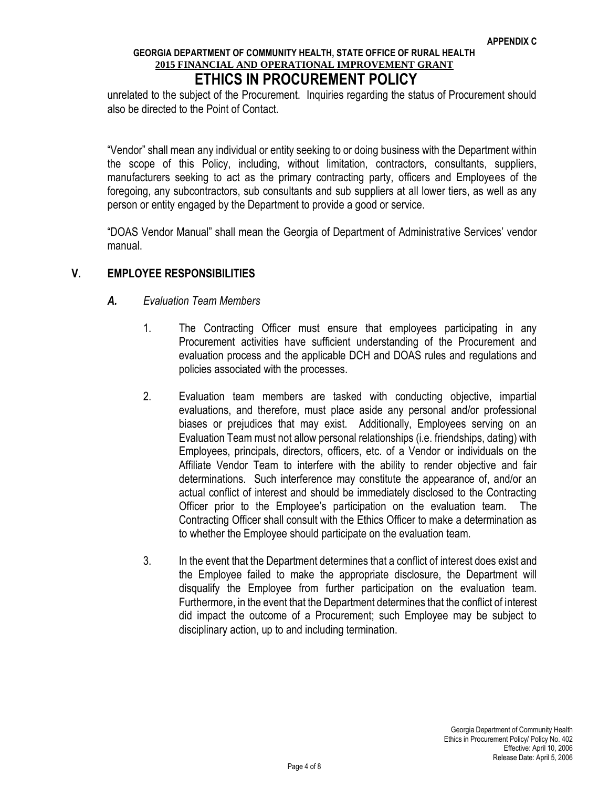unrelated to the subject of the Procurement. Inquiries regarding the status of Procurement should also be directed to the Point of Contact.

"Vendor" shall mean any individual or entity seeking to or doing business with the Department within the scope of this Policy, including, without limitation, contractors, consultants, suppliers, manufacturers seeking to act as the primary contracting party, officers and Employees of the foregoing, any subcontractors, sub consultants and sub suppliers at all lower tiers, as well as any person or entity engaged by the Department to provide a good or service.

"DOAS Vendor Manual" shall mean the Georgia of Department of Administrative Services' vendor manual.

#### **V. EMPLOYEE RESPONSIBILITIES**

#### *A. Evaluation Team Members*

- 1. The Contracting Officer must ensure that employees participating in any Procurement activities have sufficient understanding of the Procurement and evaluation process and the applicable DCH and DOAS rules and regulations and policies associated with the processes.
- 2. Evaluation team members are tasked with conducting objective, impartial evaluations, and therefore, must place aside any personal and/or professional biases or prejudices that may exist. Additionally, Employees serving on an Evaluation Team must not allow personal relationships (i.e. friendships, dating) with Employees, principals, directors, officers, etc. of a Vendor or individuals on the Affiliate Vendor Team to interfere with the ability to render objective and fair determinations. Such interference may constitute the appearance of, and/or an actual conflict of interest and should be immediately disclosed to the Contracting Officer prior to the Employee's participation on the evaluation team. The Contracting Officer shall consult with the Ethics Officer to make a determination as to whether the Employee should participate on the evaluation team.
- 3. In the event that the Department determines that a conflict of interest does exist and the Employee failed to make the appropriate disclosure, the Department will disqualify the Employee from further participation on the evaluation team. Furthermore, in the event that the Department determines that the conflict of interest did impact the outcome of a Procurement; such Employee may be subject to disciplinary action, up to and including termination.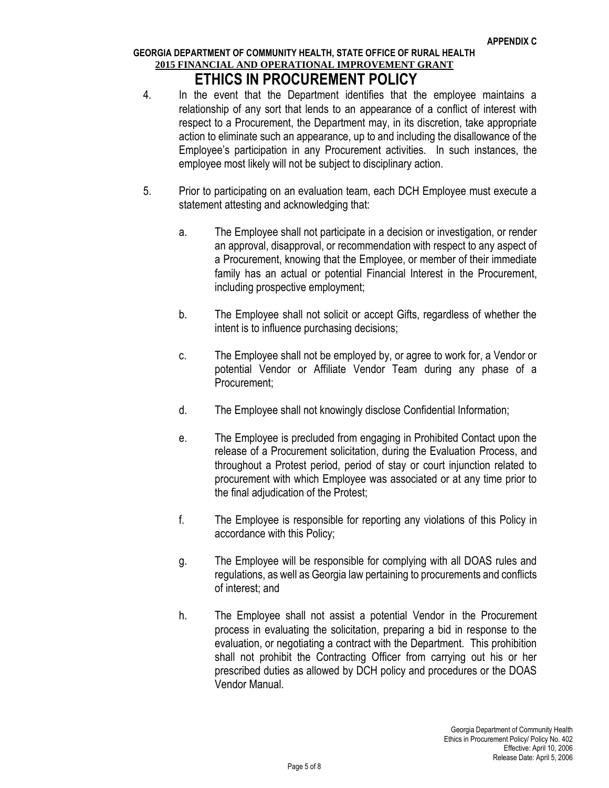- 4. In the event that the Department identifies that the employee maintains a relationship of any sort that lends to an appearance of a conflict of interest with respect to a Procurement, the Department may, in its discretion, take appropriate action to eliminate such an appearance, up to and including the disallowance of the Employee's participation in any Procurement activities. In such instances, the employee most likely will not be subject to disciplinary action.
- 5. Prior to participating on an evaluation team, each DCH Employee must execute a statement attesting and acknowledging that:
	- a. The Employee shall not participate in a decision or investigation, or render an approval, disapproval, or recommendation with respect to any aspect of a Procurement, knowing that the Employee, or member of their immediate family has an actual or potential Financial Interest in the Procurement, including prospective employment;
	- b. The Employee shall not solicit or accept Gifts, regardless of whether the intent is to influence purchasing decisions;
	- c. The Employee shall not be employed by, or agree to work for, a Vendor or potential Vendor or Affiliate Vendor Team during any phase of a Procurement;
	- d. The Employee shall not knowingly disclose Confidential Information;
	- e. The Employee is precluded from engaging in Prohibited Contact upon the release of a Procurement solicitation, during the Evaluation Process, and throughout a Protest period, period of stay or court injunction related to procurement with which Employee was associated or at any time prior to the final adjudication of the Protest;
	- f. The Employee is responsible for reporting any violations of this Policy in accordance with this Policy;
	- g. The Employee will be responsible for complying with all DOAS rules and regulations, as well as Georgia law pertaining to procurements and conflicts of interest; and
	- h. The Employee shall not assist a potential Vendor in the Procurement process in evaluating the solicitation, preparing a bid in response to the evaluation, or negotiating a contract with the Department. This prohibition shall not prohibit the Contracting Officer from carrying out his or her prescribed duties as allowed by DCH policy and procedures or the DOAS Vendor Manual.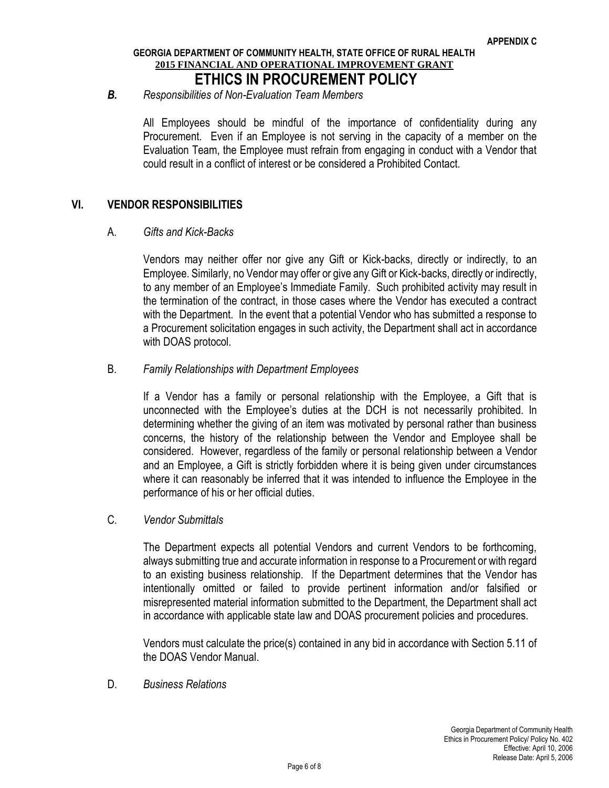#### *B. Responsibilities of Non-Evaluation Team Members*

All Employees should be mindful of the importance of confidentiality during any Procurement. Even if an Employee is not serving in the capacity of a member on the Evaluation Team, the Employee must refrain from engaging in conduct with a Vendor that could result in a conflict of interest or be considered a Prohibited Contact.

#### **VI. VENDOR RESPONSIBILITIES**

#### A. *Gifts and Kick-Backs*

Vendors may neither offer nor give any Gift or Kick-backs, directly or indirectly, to an Employee. Similarly, no Vendor may offer or give any Gift or Kick-backs, directly or indirectly, to any member of an Employee's Immediate Family. Such prohibited activity may result in the termination of the contract, in those cases where the Vendor has executed a contract with the Department. In the event that a potential Vendor who has submitted a response to a Procurement solicitation engages in such activity, the Department shall act in accordance with DOAS protocol.

#### B. *Family Relationships with Department Employees*

If a Vendor has a family or personal relationship with the Employee, a Gift that is unconnected with the Employee's duties at the DCH is not necessarily prohibited. In determining whether the giving of an item was motivated by personal rather than business concerns, the history of the relationship between the Vendor and Employee shall be considered. However, regardless of the family or personal relationship between a Vendor and an Employee, a Gift is strictly forbidden where it is being given under circumstances where it can reasonably be inferred that it was intended to influence the Employee in the performance of his or her official duties.

#### C. *Vendor Submittals*

The Department expects all potential Vendors and current Vendors to be forthcoming, always submitting true and accurate information in response to a Procurement or with regard to an existing business relationship. If the Department determines that the Vendor has intentionally omitted or failed to provide pertinent information and/or falsified or misrepresented material information submitted to the Department, the Department shall act in accordance with applicable state law and DOAS procurement policies and procedures.

Vendors must calculate the price(s) contained in any bid in accordance with Section 5.11 of the DOAS Vendor Manual.

D. *Business Relations*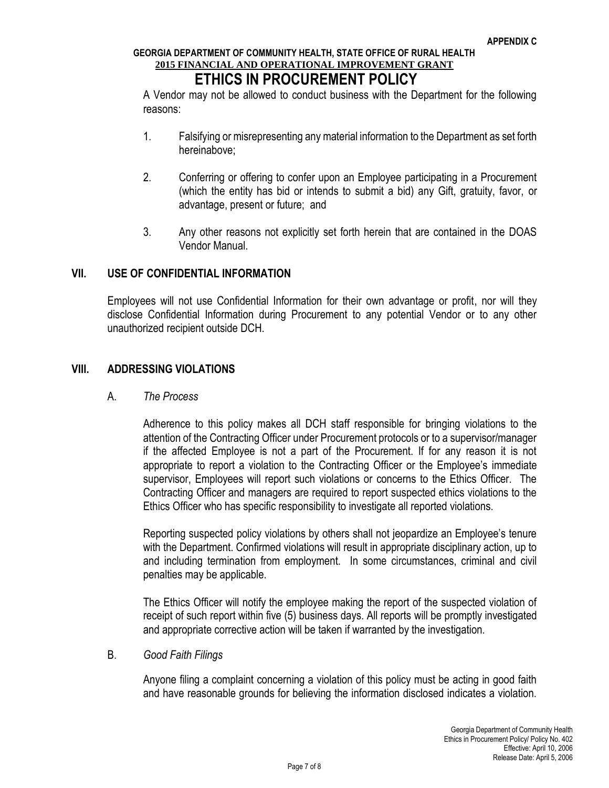## **ETHICS IN PROCUREMENT POLICY**

A Vendor may not be allowed to conduct business with the Department for the following reasons:

- 1. Falsifying or misrepresenting any material information to the Department as set forth hereinabove;
- 2. Conferring or offering to confer upon an Employee participating in a Procurement (which the entity has bid or intends to submit a bid) any Gift, gratuity, favor, or advantage, present or future; and
- 3. Any other reasons not explicitly set forth herein that are contained in the DOAS Vendor Manual.

#### **VII. USE OF CONFIDENTIAL INFORMATION**

Employees will not use Confidential Information for their own advantage or profit, nor will they disclose Confidential Information during Procurement to any potential Vendor or to any other unauthorized recipient outside DCH.

#### **VIII. ADDRESSING VIOLATIONS**

#### A. *The Process*

Adherence to this policy makes all DCH staff responsible for bringing violations to the attention of the Contracting Officer under Procurement protocols or to a supervisor/manager if the affected Employee is not a part of the Procurement. If for any reason it is not appropriate to report a violation to the Contracting Officer or the Employee's immediate supervisor, Employees will report such violations or concerns to the Ethics Officer. The Contracting Officer and managers are required to report suspected ethics violations to the Ethics Officer who has specific responsibility to investigate all reported violations.

Reporting suspected policy violations by others shall not jeopardize an Employee's tenure with the Department. Confirmed violations will result in appropriate disciplinary action, up to and including termination from employment. In some circumstances, criminal and civil penalties may be applicable.

The Ethics Officer will notify the employee making the report of the suspected violation of receipt of such report within five (5) business days. All reports will be promptly investigated and appropriate corrective action will be taken if warranted by the investigation.

#### B. *Good Faith Filings*

Anyone filing a complaint concerning a violation of this policy must be acting in good faith and have reasonable grounds for believing the information disclosed indicates a violation.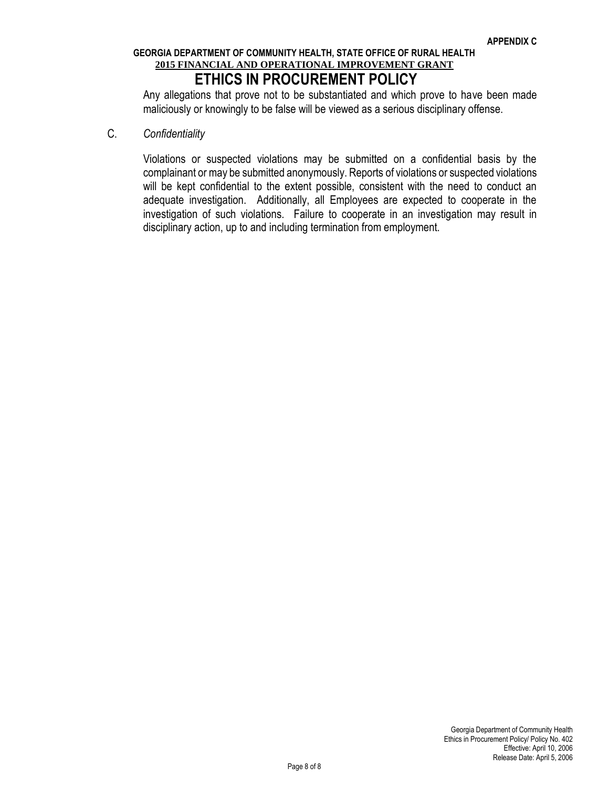Any allegations that prove not to be substantiated and which prove to have been made maliciously or knowingly to be false will be viewed as a serious disciplinary offense.

C. *Confidentiality* 

Violations or suspected violations may be submitted on a confidential basis by the complainant or may be submitted anonymously. Reports of violations or suspected violations will be kept confidential to the extent possible, consistent with the need to conduct an adequate investigation. Additionally, all Employees are expected to cooperate in the investigation of such violations. Failure to cooperate in an investigation may result in disciplinary action, up to and including termination from employment.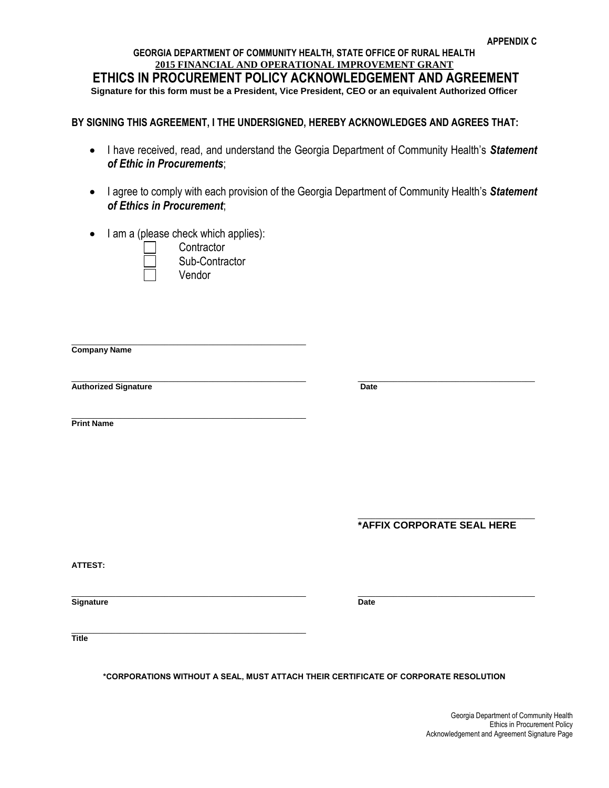#### **GEORGIA DEPARTMENT OF COMMUNITY HEALTH, STATE OFFICE OF RURAL HEALTH 2015 FINANCIAL AND OPERATIONAL IMPROVEMENT GRANT ETHICS IN PROCUREMENT POLICY ACKNOWLEDGEMENT AND AGREEMENT Signature for this form must be a President, Vice President, CEO or an equivalent Authorized Officer**

#### **BY SIGNING THIS AGREEMENT, I THE UNDERSIGNED, HEREBY ACKNOWLEDGES AND AGREES THAT:**

- I have received, read, and understand the Georgia Department of Community Health's *Statement of Ethic in Procurements*;
- I agree to comply with each provision of the Georgia Department of Community Health's *Statement of Ethics in Procurement*;
- $\bullet$  I am a (please check which applies):

\_\_\_\_\_\_\_\_\_\_\_\_\_\_\_\_\_\_\_\_\_\_\_\_\_\_\_\_\_\_\_\_\_\_\_\_\_\_\_\_\_\_\_\_\_\_\_\_\_\_\_\_\_



**Contractor** Sub-Contractor Vendor

**Company Name**

 $\_$  ,  $\_$  ,  $\_$  ,  $\_$  ,  $\_$  ,  $\_$  ,  $\_$  ,  $\_$  ,  $\_$  ,  $\_$  ,  $\_$  ,  $\_$  ,  $\_$  ,  $\_$  ,  $\_$  ,  $\_$  ,  $\_$  ,  $\_$  ,  $\_$  ,  $\_$ **Authorized Signature Date** 

\_\_\_\_\_\_\_\_\_\_\_\_\_\_\_\_\_\_\_\_\_\_\_\_\_\_\_\_\_\_\_\_\_\_\_\_\_\_\_\_\_\_\_\_\_\_\_\_\_\_\_\_\_ **Print Name**

> \_\_\_\_\_\_\_\_\_\_\_\_\_\_\_\_\_\_\_\_\_\_\_\_\_\_\_\_\_\_\_\_\_\_\_\_\_\_\_\_ **\*AFFIX CORPORATE SEAL HERE**

**ATTEST:** 

 $\_$  ,  $\_$  ,  $\_$  ,  $\_$  ,  $\_$  ,  $\_$  ,  $\_$  ,  $\_$  ,  $\_$  ,  $\_$  ,  $\_$  ,  $\_$  ,  $\_$  ,  $\_$  ,  $\_$  ,  $\_$  ,  $\_$  ,  $\_$  ,  $\_$  ,  $\_$ **Signature** Date

 $\mathcal{L}_\text{max}$  and  $\mathcal{L}_\text{max}$  and  $\mathcal{L}_\text{max}$  are the set of the set of the set of the set of the set of the set of the set of the set of the set of the set of the set of the set of the set of the set of the set of th **Title**

**\*CORPORATIONS WITHOUT A SEAL, MUST ATTACH THEIR CERTIFICATE OF CORPORATE RESOLUTION**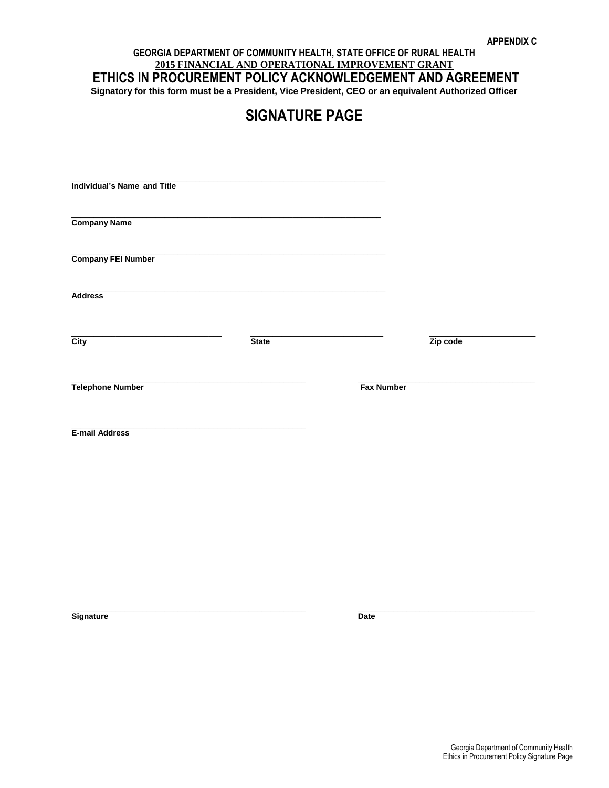#### **GEORGIA DEPARTMENT OF COMMUNITY HEALTH, STATE OFFICE OF RURAL HEALTH 2015 FINANCIAL AND OPERATIONAL IMPROVEMENT GRANT ETHICS IN PROCUREMENT POLICY ACKNOWLEDGEMENT AND AGREEMENT Signatory for this form must be a President, Vice President, CEO or an equivalent Authorized Officer**

## **SIGNATURE PAGE**

| <b>Individual's Name and Title</b> |              |                   |          |  |
|------------------------------------|--------------|-------------------|----------|--|
| <b>Company Name</b>                |              |                   |          |  |
| <b>Company FEI Number</b>          |              |                   |          |  |
| <b>Address</b>                     |              |                   |          |  |
| $\overline{\text{City}}$           | <b>State</b> |                   | Zip code |  |
| <b>Telephone Number</b>            |              | <b>Fax Number</b> |          |  |
| E-mail Address                     |              |                   |          |  |
|                                    |              |                   |          |  |
|                                    |              |                   |          |  |

 $\_$  ,  $\_$  ,  $\_$  ,  $\_$  ,  $\_$  ,  $\_$  ,  $\_$  ,  $\_$  ,  $\_$  ,  $\_$  ,  $\_$  ,  $\_$  ,  $\_$  ,  $\_$  ,  $\_$  ,  $\_$  ,  $\_$  ,  $\_$  ,  $\_$  ,  $\_$ 

**Signature** Date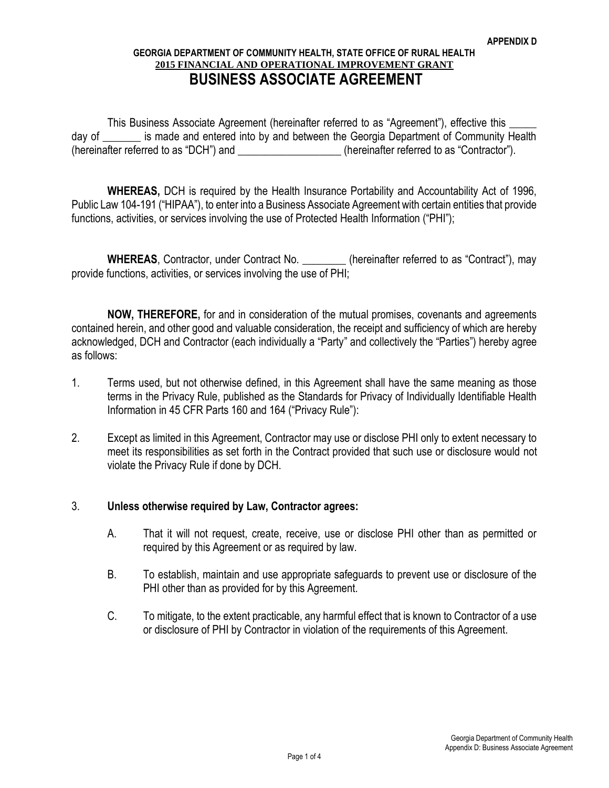#### **GEORGIA DEPARTMENT OF COMMUNITY HEALTH, STATE OFFICE OF RURAL HEALTH 2015 FINANCIAL AND OPERATIONAL IMPROVEMENT GRANT BUSINESS ASSOCIATE AGREEMENT**

This Business Associate Agreement (hereinafter referred to as "Agreement"), effective this \_\_\_\_\_ day of \_\_\_\_\_\_\_ is made and entered into by and between the Georgia Department of Community Health (hereinafter referred to as "DCH") and  $\blacksquare$  (hereinafter referred to as "Contractor").

**WHEREAS,** DCH is required by the Health Insurance Portability and Accountability Act of 1996, Public Law 104-191 ("HIPAA"), to enter into a Business Associate Agreement with certain entities that provide functions, activities, or services involving the use of Protected Health Information ("PHI");

**WHEREAS**, Contractor, under Contract No. *Contract meremelial terms* (hereinafter referred to as "Contract"), may provide functions, activities, or services involving the use of PHI;

**NOW, THEREFORE,** for and in consideration of the mutual promises, covenants and agreements contained herein, and other good and valuable consideration, the receipt and sufficiency of which are hereby acknowledged, DCH and Contractor (each individually a "Party" and collectively the "Parties") hereby agree as follows:

- 1. Terms used, but not otherwise defined, in this Agreement shall have the same meaning as those terms in the Privacy Rule, published as the Standards for Privacy of Individually Identifiable Health Information in 45 CFR Parts 160 and 164 ("Privacy Rule"):
- 2. Except as limited in this Agreement, Contractor may use or disclose PHI only to extent necessary to meet its responsibilities as set forth in the Contract provided that such use or disclosure would not violate the Privacy Rule if done by DCH.

#### 3. **Unless otherwise required by Law, Contractor agrees:**

- A. That it will not request, create, receive, use or disclose PHI other than as permitted or required by this Agreement or as required by law.
- B. To establish, maintain and use appropriate safeguards to prevent use or disclosure of the PHI other than as provided for by this Agreement.
- C. To mitigate, to the extent practicable, any harmful effect that is known to Contractor of a use or disclosure of PHI by Contractor in violation of the requirements of this Agreement.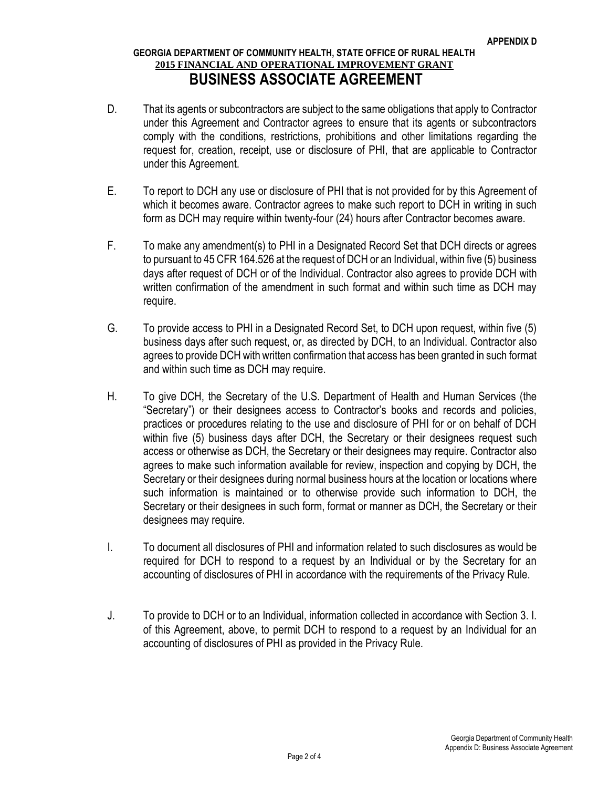#### **GEORGIA DEPARTMENT OF COMMUNITY HEALTH, STATE OFFICE OF RURAL HEALTH 2015 FINANCIAL AND OPERATIONAL IMPROVEMENT GRANT BUSINESS ASSOCIATE AGREEMENT**

- D. That its agents or subcontractors are subject to the same obligations that apply to Contractor under this Agreement and Contractor agrees to ensure that its agents or subcontractors comply with the conditions, restrictions, prohibitions and other limitations regarding the request for, creation, receipt, use or disclosure of PHI, that are applicable to Contractor under this Agreement.
- E. To report to DCH any use or disclosure of PHI that is not provided for by this Agreement of which it becomes aware. Contractor agrees to make such report to DCH in writing in such form as DCH may require within twenty-four (24) hours after Contractor becomes aware.
- F. To make any amendment(s) to PHI in a Designated Record Set that DCH directs or agrees to pursuant to 45 CFR 164.526 at the request of DCH or an Individual, within five (5) business days after request of DCH or of the Individual. Contractor also agrees to provide DCH with written confirmation of the amendment in such format and within such time as DCH may require.
- G. To provide access to PHI in a Designated Record Set, to DCH upon request, within five (5) business days after such request, or, as directed by DCH, to an Individual. Contractor also agrees to provide DCH with written confirmation that access has been granted in such format and within such time as DCH may require.
- H. To give DCH, the Secretary of the U.S. Department of Health and Human Services (the "Secretary") or their designees access to Contractor's books and records and policies, practices or procedures relating to the use and disclosure of PHI for or on behalf of DCH within five (5) business days after DCH, the Secretary or their designees request such access or otherwise as DCH, the Secretary or their designees may require. Contractor also agrees to make such information available for review, inspection and copying by DCH, the Secretary or their designees during normal business hours at the location or locations where such information is maintained or to otherwise provide such information to DCH, the Secretary or their designees in such form, format or manner as DCH, the Secretary or their designees may require.
- I. To document all disclosures of PHI and information related to such disclosures as would be required for DCH to respond to a request by an Individual or by the Secretary for an accounting of disclosures of PHI in accordance with the requirements of the Privacy Rule.
- J. To provide to DCH or to an Individual, information collected in accordance with Section 3. I. of this Agreement, above, to permit DCH to respond to a request by an Individual for an accounting of disclosures of PHI as provided in the Privacy Rule.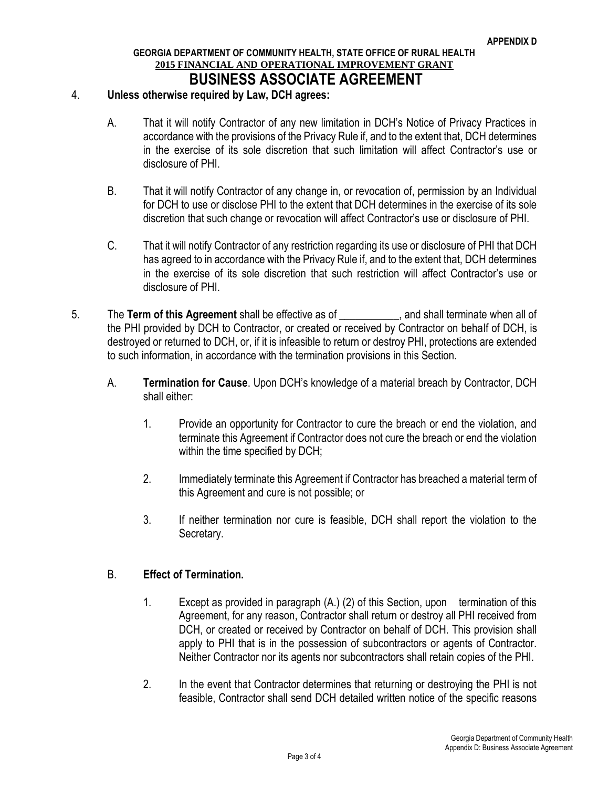#### **GEORGIA DEPARTMENT OF COMMUNITY HEALTH, STATE OFFICE OF RURAL HEALTH 2015 FINANCIAL AND OPERATIONAL IMPROVEMENT GRANT BUSINESS ASSOCIATE AGREEMENT**

#### 4. **Unless otherwise required by Law, DCH agrees:**

- A. That it will notify Contractor of any new limitation in DCH's Notice of Privacy Practices in accordance with the provisions of the Privacy Rule if, and to the extent that, DCH determines in the exercise of its sole discretion that such limitation will affect Contractor's use or disclosure of PHI.
- B. That it will notify Contractor of any change in, or revocation of, permission by an Individual for DCH to use or disclose PHI to the extent that DCH determines in the exercise of its sole discretion that such change or revocation will affect Contractor's use or disclosure of PHI.
- C. That it will notify Contractor of any restriction regarding its use or disclosure of PHI that DCH has agreed to in accordance with the Privacy Rule if, and to the extent that, DCH determines in the exercise of its sole discretion that such restriction will affect Contractor's use or disclosure of PHI.
- 5. The **Term of this Agreement** shall be effective as of \_\_\_\_\_\_\_\_\_\_\_, and shall terminate when all of the PHI provided by DCH to Contractor, or created or received by Contractor on behalf of DCH, is destroyed or returned to DCH, or, if it is infeasible to return or destroy PHI, protections are extended to such information, in accordance with the termination provisions in this Section.
	- A. **Termination for Cause**. Upon DCH's knowledge of a material breach by Contractor, DCH shall either:
		- 1. Provide an opportunity for Contractor to cure the breach or end the violation, and terminate this Agreement if Contractor does not cure the breach or end the violation within the time specified by DCH;
		- 2. Immediately terminate this Agreement if Contractor has breached a material term of this Agreement and cure is not possible; or
		- 3. If neither termination nor cure is feasible, DCH shall report the violation to the Secretary.

#### B. **Effect of Termination.**

- 1. Except as provided in paragraph (A.) (2) of this Section, upon termination of this Agreement, for any reason, Contractor shall return or destroy all PHI received from DCH, or created or received by Contractor on behalf of DCH. This provision shall apply to PHI that is in the possession of subcontractors or agents of Contractor. Neither Contractor nor its agents nor subcontractors shall retain copies of the PHI.
- 2. In the event that Contractor determines that returning or destroying the PHI is not feasible, Contractor shall send DCH detailed written notice of the specific reasons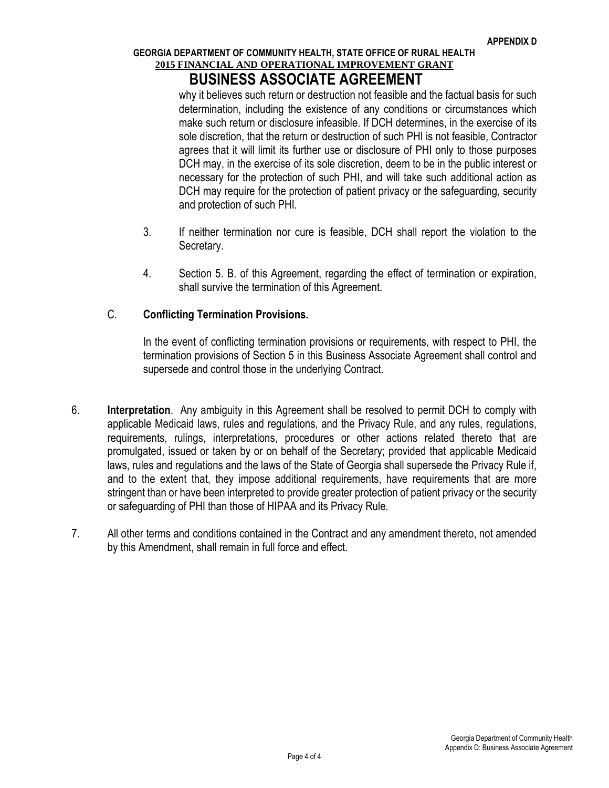## **BUSINESS ASSOCIATE AGREEMENT**

why it believes such return or destruction not feasible and the factual basis for such determination, including the existence of any conditions or circumstances which make such return or disclosure infeasible. If DCH determines, in the exercise of its sole discretion, that the return or destruction of such PHI is not feasible, Contractor agrees that it will limit its further use or disclosure of PHI only to those purposes DCH may, in the exercise of its sole discretion, deem to be in the public interest or necessary for the protection of such PHI, and will take such additional action as DCH may require for the protection of patient privacy or the safeguarding, security and protection of such PHI.

- 3. If neither termination nor cure is feasible, DCH shall report the violation to the Secretary.
- 4. Section 5. B. of this Agreement, regarding the effect of termination or expiration, shall survive the termination of this Agreement.

#### C. **Conflicting Termination Provisions.**

In the event of conflicting termination provisions or requirements, with respect to PHI, the termination provisions of Section 5 in this Business Associate Agreement shall control and supersede and control those in the underlying Contract.

- 6. **Interpretation**. Any ambiguity in this Agreement shall be resolved to permit DCH to comply with applicable Medicaid laws, rules and regulations, and the Privacy Rule, and any rules, regulations, requirements, rulings, interpretations, procedures or other actions related thereto that are promulgated, issued or taken by or on behalf of the Secretary; provided that applicable Medicaid laws, rules and regulations and the laws of the State of Georgia shall supersede the Privacy Rule if, and to the extent that, they impose additional requirements, have requirements that are more stringent than or have been interpreted to provide greater protection of patient privacy or the security or safeguarding of PHI than those of HIPAA and its Privacy Rule.
- 7. All other terms and conditions contained in the Contract and any amendment thereto, not amended by this Amendment, shall remain in full force and effect.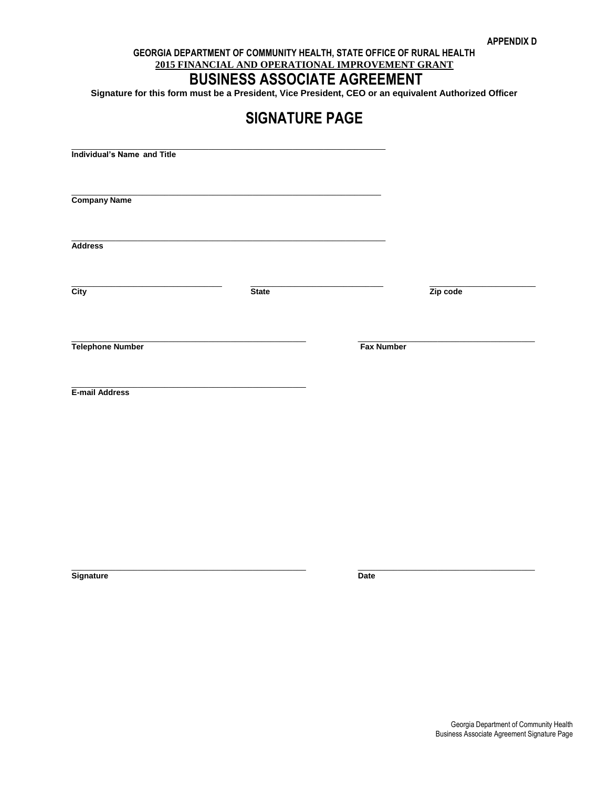## **BUSINESS ASSOCIATE AGREEMENT**

**Signature for this form must be a President, Vice President, CEO or an equivalent Authorized Officer**

**SIGNATURE PAGE**

| <b>Individual's Name and Title</b> |              |                   |          |
|------------------------------------|--------------|-------------------|----------|
|                                    |              |                   |          |
| <b>Company Name</b>                |              |                   |          |
|                                    |              |                   |          |
| <b>Address</b>                     |              |                   |          |
|                                    | <b>State</b> |                   |          |
| $\overline{\text{City}}$           |              |                   | Zip code |
|                                    |              |                   |          |
| <b>Telephone Number</b>            |              | <b>Fax Number</b> |          |
|                                    |              |                   |          |
| E-mail Address                     |              |                   |          |
|                                    |              |                   |          |
|                                    |              |                   |          |
|                                    |              |                   |          |

 $\_$  ,  $\_$  ,  $\_$  ,  $\_$  ,  $\_$  ,  $\_$  ,  $\_$  ,  $\_$  ,  $\_$  ,  $\_$  ,  $\_$  ,  $\_$  ,  $\_$  ,  $\_$  ,  $\_$  ,  $\_$  ,  $\_$  ,  $\_$  ,  $\_$  ,  $\_$ 

**Signature** Date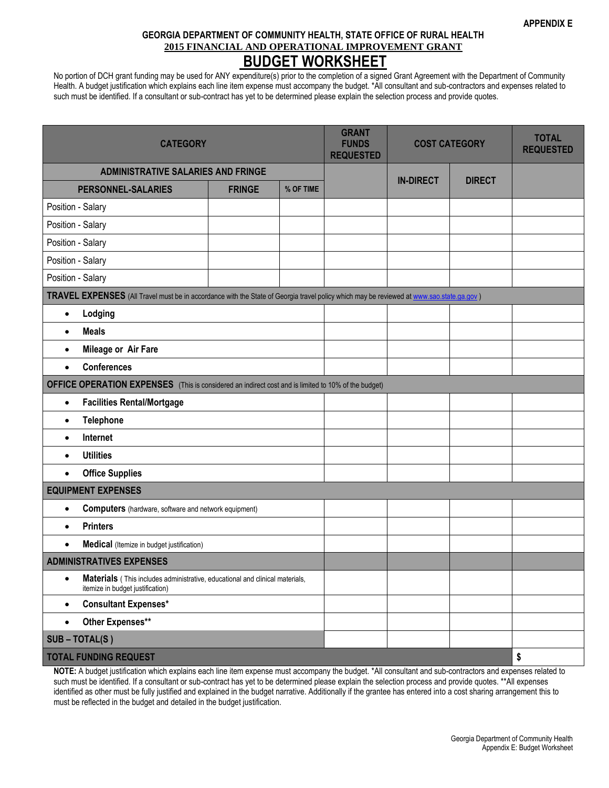No portion of DCH grant funding may be used for ANY expenditure(s) prior to the completion of a signed Grant Agreement with the Department of Community Health. A budget justification which explains each line item expense must accompany the budget. \*All consultant and sub-contractors and expenses related to such must be identified. If a consultant or sub-contract has yet to be determined please explain the selection process and provide quotes.

| <b>CATEGORY</b>                                                                                                                          |               |           | <b>GRANT</b><br><b>FUNDS</b><br><b>REQUESTED</b> | <b>COST CATEGORY</b> |               | <b>TOTAL</b><br><b>REQUESTED</b> |
|------------------------------------------------------------------------------------------------------------------------------------------|---------------|-----------|--------------------------------------------------|----------------------|---------------|----------------------------------|
| <b>ADMINISTRATIVE SALARIES AND FRINGE</b>                                                                                                |               |           |                                                  | <b>IN-DIRECT</b>     | <b>DIRECT</b> |                                  |
| <b>PERSONNEL-SALARIES</b>                                                                                                                | <b>FRINGE</b> | % OF TIME |                                                  |                      |               |                                  |
| Position - Salary                                                                                                                        |               |           |                                                  |                      |               |                                  |
| Position - Salary                                                                                                                        |               |           |                                                  |                      |               |                                  |
| Position - Salary                                                                                                                        |               |           |                                                  |                      |               |                                  |
| Position - Salary                                                                                                                        |               |           |                                                  |                      |               |                                  |
| Position - Salary                                                                                                                        |               |           |                                                  |                      |               |                                  |
| TRAVEL EXPENSES (All Travel must be in accordance with the State of Georgia travel policy which may be reviewed at www.sao.state.ga.gov) |               |           |                                                  |                      |               |                                  |
| Lodging<br>$\bullet$                                                                                                                     |               |           |                                                  |                      |               |                                  |
| <b>Meals</b><br>$\bullet$                                                                                                                |               |           |                                                  |                      |               |                                  |
| Mileage or Air Fare<br>$\bullet$                                                                                                         |               |           |                                                  |                      |               |                                  |
| <b>Conferences</b><br>$\bullet$                                                                                                          |               |           |                                                  |                      |               |                                  |
| OFFICE OPERATION EXPENSES (This is considered an indirect cost and is limited to 10% of the budget)                                      |               |           |                                                  |                      |               |                                  |
| <b>Facilities Rental/Mortgage</b><br>$\bullet$                                                                                           |               |           |                                                  |                      |               |                                  |
| <b>Telephone</b><br>$\bullet$                                                                                                            |               |           |                                                  |                      |               |                                  |
| Internet<br>$\bullet$                                                                                                                    |               |           |                                                  |                      |               |                                  |
| <b>Utilities</b><br>$\bullet$                                                                                                            |               |           |                                                  |                      |               |                                  |
| <b>Office Supplies</b><br>$\bullet$                                                                                                      |               |           |                                                  |                      |               |                                  |
| <b>EQUIPMENT EXPENSES</b>                                                                                                                |               |           |                                                  |                      |               |                                  |
| <b>Computers</b> (hardware, software and network equipment)<br>$\bullet$                                                                 |               |           |                                                  |                      |               |                                  |
| <b>Printers</b><br>$\bullet$                                                                                                             |               |           |                                                  |                      |               |                                  |
| Medical (Itemize in budget justification)<br>$\bullet$                                                                                   |               |           |                                                  |                      |               |                                  |
| <b>ADMINISTRATIVES EXPENSES</b>                                                                                                          |               |           |                                                  |                      |               |                                  |
| Materials (This includes administrative, educational and clinical materials,<br>$\bullet$<br>itemize in budget justification)            |               |           |                                                  |                      |               |                                  |
| <b>Consultant Expenses*</b><br>$\bullet$                                                                                                 |               |           |                                                  |                      |               |                                  |
| Other Expenses**<br>$\bullet$                                                                                                            |               |           |                                                  |                      |               |                                  |
| SUB-TOTAL(S)                                                                                                                             |               |           |                                                  |                      |               |                                  |
| <b>TOTAL FUNDING REQUEST</b>                                                                                                             |               |           |                                                  |                      |               | \$                               |

**NOTE:** A budget justification which explains each line item expense must accompany the budget. \*All consultant and sub-contractors and expenses related to such must be identified. If a consultant or sub-contract has yet to be determined please explain the selection process and provide quotes. \*\*All expenses identified as other must be fully justified and explained in the budget narrative. Additionally if the grantee has entered into a cost sharing arrangement this to must be reflected in the budget and detailed in the budget justification.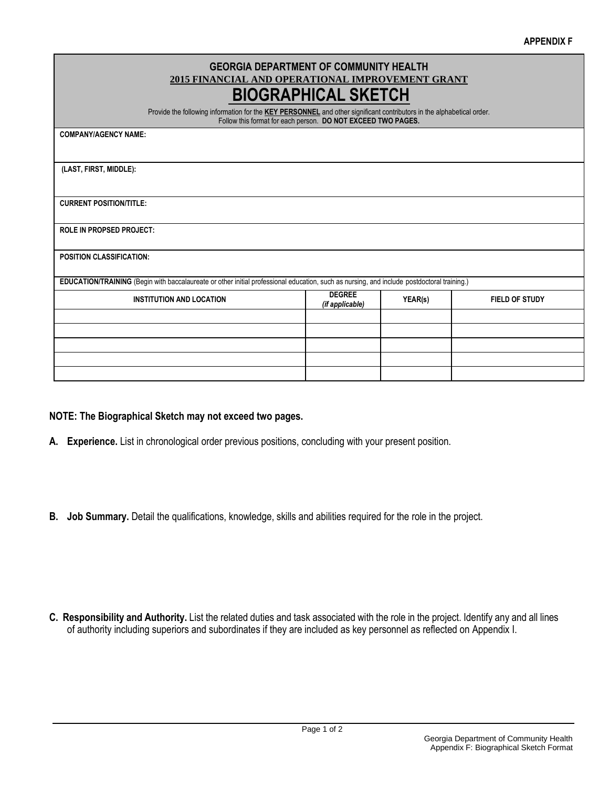| <b>GEORGIA DEPARTMENT OF COMMUNITY HEALTH</b><br>2015 FINANCIAL AND OPERATIONAL IMPROVEMENT GRANT<br><b>BIOGRAPHICAL SKETCH</b><br>Provide the following information for the KEY PERSONNEL and other significant contributors in the alphabetical order.<br>Follow this format for each person. DO NOT EXCEED TWO PAGES. |                                  |         |                       |  |  |  |
|--------------------------------------------------------------------------------------------------------------------------------------------------------------------------------------------------------------------------------------------------------------------------------------------------------------------------|----------------------------------|---------|-----------------------|--|--|--|
| <b>COMPANY/AGENCY NAME:</b>                                                                                                                                                                                                                                                                                              |                                  |         |                       |  |  |  |
|                                                                                                                                                                                                                                                                                                                          |                                  |         |                       |  |  |  |
| (LAST, FIRST, MIDDLE):                                                                                                                                                                                                                                                                                                   |                                  |         |                       |  |  |  |
|                                                                                                                                                                                                                                                                                                                          |                                  |         |                       |  |  |  |
| <b>CURRENT POSITION/TITLE:</b>                                                                                                                                                                                                                                                                                           |                                  |         |                       |  |  |  |
|                                                                                                                                                                                                                                                                                                                          |                                  |         |                       |  |  |  |
| <b>ROLE IN PROPSED PROJECT:</b>                                                                                                                                                                                                                                                                                          |                                  |         |                       |  |  |  |
| <b>POSITION CLASSIFICATION:</b>                                                                                                                                                                                                                                                                                          |                                  |         |                       |  |  |  |
|                                                                                                                                                                                                                                                                                                                          |                                  |         |                       |  |  |  |
| EDUCATION/TRAINING (Begin with baccalaureate or other initial professional education, such as nursing, and include postdoctoral training.)                                                                                                                                                                               |                                  |         |                       |  |  |  |
| <b>INSTITUTION AND LOCATION</b>                                                                                                                                                                                                                                                                                          | <b>DEGREE</b><br>(if applicable) | YEAR(s) | <b>FIELD OF STUDY</b> |  |  |  |
|                                                                                                                                                                                                                                                                                                                          |                                  |         |                       |  |  |  |
|                                                                                                                                                                                                                                                                                                                          |                                  |         |                       |  |  |  |
|                                                                                                                                                                                                                                                                                                                          |                                  |         |                       |  |  |  |
|                                                                                                                                                                                                                                                                                                                          |                                  |         |                       |  |  |  |
|                                                                                                                                                                                                                                                                                                                          |                                  |         |                       |  |  |  |

#### **NOTE: The Biographical Sketch may not exceed two pages.**

- **A. Experience.** List in chronological order previous positions, concluding with your present position.
- **B. Job Summary.** Detail the qualifications, knowledge, skills and abilities required for the role in the project.

**C. Responsibility and Authority.** List the related duties and task associated with the role in the project. Identify any and all lines of authority including superiors and subordinates if they are included as key personnel as reflected on Appendix I.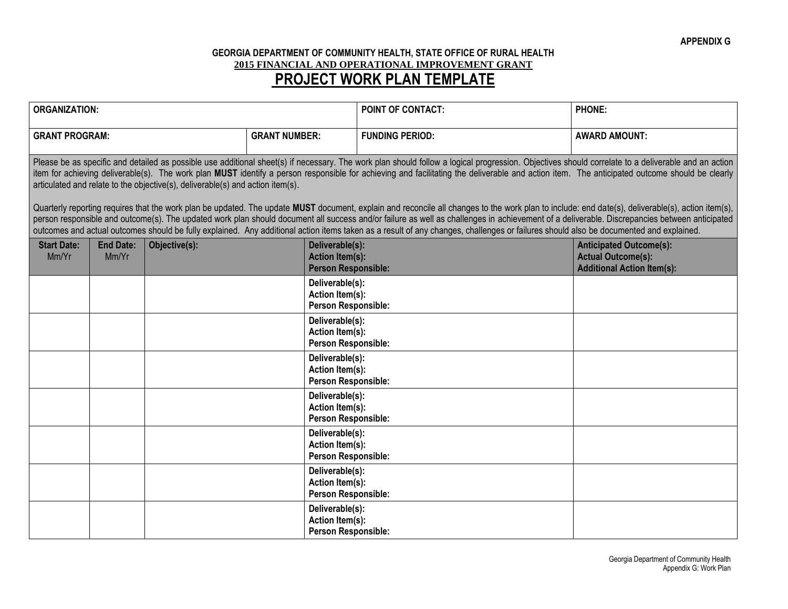#### **GEORGIA DEPARTMENT OF COMMUNITY HEALTH, STATE OFFICE OF RURAL HEALTH 2015 FINANCIAL AND OPERATIONAL IMPROVEMENT GRANT PROJECT WORK PLAN TEMPLATE**

| <b>ORGANIZATION:</b>                                                                                                                                                                                                                                                                                                                                                                                                                                                                                                                                                                                                                                                                                                                                                                                                                                                                                                                                                                                                                                                                |                           |               |                        | POINT OF CONTACT:                                                       | <b>PHONE:</b> |                                                                                                  |
|-------------------------------------------------------------------------------------------------------------------------------------------------------------------------------------------------------------------------------------------------------------------------------------------------------------------------------------------------------------------------------------------------------------------------------------------------------------------------------------------------------------------------------------------------------------------------------------------------------------------------------------------------------------------------------------------------------------------------------------------------------------------------------------------------------------------------------------------------------------------------------------------------------------------------------------------------------------------------------------------------------------------------------------------------------------------------------------|---------------------------|---------------|------------------------|-------------------------------------------------------------------------|---------------|--------------------------------------------------------------------------------------------------|
| <b>GRANT PROGRAM:</b><br><b>GRANT NUMBER:</b>                                                                                                                                                                                                                                                                                                                                                                                                                                                                                                                                                                                                                                                                                                                                                                                                                                                                                                                                                                                                                                       |                           |               | <b>FUNDING PERIOD:</b> | <b>AWARD AMOUNT:</b>                                                    |               |                                                                                                  |
| Please be as specific and detailed as possible use additional sheet(s) if necessary. The work plan should follow a logical progression. Objectives should correlate to a deliverable and an action<br>item for achieving deliverable(s). The work plan MUST identify a person responsible for achieving and facilitating the deliverable and action item. The anticipated outcome should be clearly<br>articulated and relate to the objective(s), deliverable(s) and action item(s).<br>Quarterly reporting requires that the work plan be updated. The update MUST document, explain and reconcile all changes to the work plan to include: end date(s), deliverable(s), action item(s),<br>person responsible and outcome(s). The updated work plan should document all success and/or failure as well as challenges in achievement of a deliverable. Discrepancies between anticipated<br>outcomes and actual outcomes should be fully explained. Any additional action items taken as a result of any changes, challenges or failures should also be documented and explained. |                           |               |                        |                                                                         |               |                                                                                                  |
| <b>Start Date:</b><br>Mm/Yr                                                                                                                                                                                                                                                                                                                                                                                                                                                                                                                                                                                                                                                                                                                                                                                                                                                                                                                                                                                                                                                         | <b>End Date:</b><br>Mm/Yr | Objective(s): |                        | Deliverable(s):<br><b>Action Item(s):</b><br><b>Person Responsible:</b> |               | <b>Anticipated Outcome(s):</b><br><b>Actual Outcome(s):</b><br><b>Additional Action Item(s):</b> |
|                                                                                                                                                                                                                                                                                                                                                                                                                                                                                                                                                                                                                                                                                                                                                                                                                                                                                                                                                                                                                                                                                     |                           |               |                        | Deliverable(s):<br>Action Item(s):<br>Person Responsible:               |               |                                                                                                  |
|                                                                                                                                                                                                                                                                                                                                                                                                                                                                                                                                                                                                                                                                                                                                                                                                                                                                                                                                                                                                                                                                                     |                           |               |                        | Deliverable(s):<br>Action Item(s):<br>Person Responsible:               |               |                                                                                                  |
|                                                                                                                                                                                                                                                                                                                                                                                                                                                                                                                                                                                                                                                                                                                                                                                                                                                                                                                                                                                                                                                                                     |                           |               |                        | Deliverable(s):<br>Action Item(s):<br><b>Person Responsible:</b>        |               |                                                                                                  |
|                                                                                                                                                                                                                                                                                                                                                                                                                                                                                                                                                                                                                                                                                                                                                                                                                                                                                                                                                                                                                                                                                     |                           |               |                        | Deliverable(s):<br>Action Item(s):<br>Person Responsible:               |               |                                                                                                  |
|                                                                                                                                                                                                                                                                                                                                                                                                                                                                                                                                                                                                                                                                                                                                                                                                                                                                                                                                                                                                                                                                                     |                           |               |                        | Deliverable(s):<br>Action Item(s):<br>Person Responsible:               |               |                                                                                                  |
|                                                                                                                                                                                                                                                                                                                                                                                                                                                                                                                                                                                                                                                                                                                                                                                                                                                                                                                                                                                                                                                                                     |                           |               |                        | Deliverable(s):<br>Action Item(s):<br>Person Responsible:               |               |                                                                                                  |
|                                                                                                                                                                                                                                                                                                                                                                                                                                                                                                                                                                                                                                                                                                                                                                                                                                                                                                                                                                                                                                                                                     |                           |               |                        | Deliverable(s):<br>Action Item(s):<br>Person Responsible:               |               |                                                                                                  |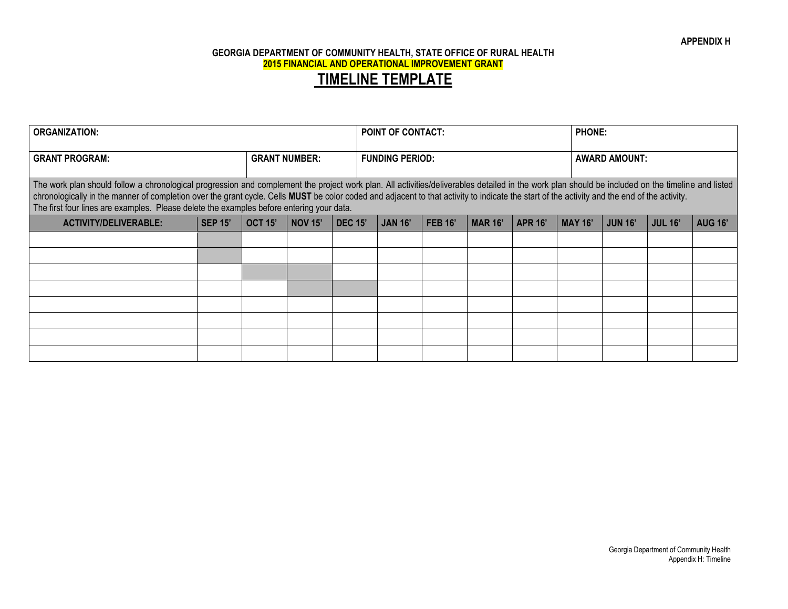| <b>ORGANIZATION:</b>                                                                                                                                                                                                                                                                                                                                                                                                                                                                          |                |                      |                |                | <b>POINT OF CONTACT:</b> |                |                |                |                |                      | <b>PHONE:</b>  |                |                |  |
|-----------------------------------------------------------------------------------------------------------------------------------------------------------------------------------------------------------------------------------------------------------------------------------------------------------------------------------------------------------------------------------------------------------------------------------------------------------------------------------------------|----------------|----------------------|----------------|----------------|--------------------------|----------------|----------------|----------------|----------------|----------------------|----------------|----------------|----------------|--|
| <b>GRANT PROGRAM:</b>                                                                                                                                                                                                                                                                                                                                                                                                                                                                         |                | <b>GRANT NUMBER:</b> |                |                | <b>FUNDING PERIOD:</b>   |                |                |                |                | <b>AWARD AMOUNT:</b> |                |                |                |  |
| The work plan should follow a chronological progression and complement the project work plan. All activities/deliverables detailed in the work plan should be included on the timeline and listed<br>chronologically in the manner of completion over the grant cycle. Cells MUST be color coded and adjacent to that activity to indicate the start of the activity and the end of the activity.<br>The first four lines are examples. Please delete the examples before entering your data. |                |                      |                |                |                          |                |                |                |                |                      |                |                |                |  |
| <b>ACTIVITY/DELIVERABLE:</b>                                                                                                                                                                                                                                                                                                                                                                                                                                                                  | <b>SEP 15'</b> | <b>OCT 15'</b>       | <b>NOV 15'</b> | <b>DEC 15'</b> |                          | <b>JAN 16'</b> | <b>FEB 16'</b> | <b>MAR 16'</b> | <b>APR 16'</b> | <b>MAY 16'</b>       | <b>JUN 16'</b> | <b>JUL 16'</b> | <b>AUG 16'</b> |  |
|                                                                                                                                                                                                                                                                                                                                                                                                                                                                                               |                |                      |                |                |                          |                |                |                |                |                      |                |                |                |  |
|                                                                                                                                                                                                                                                                                                                                                                                                                                                                                               |                |                      |                |                |                          |                |                |                |                |                      |                |                |                |  |
|                                                                                                                                                                                                                                                                                                                                                                                                                                                                                               |                |                      |                |                |                          |                |                |                |                |                      |                |                |                |  |
|                                                                                                                                                                                                                                                                                                                                                                                                                                                                                               |                |                      |                |                |                          |                |                |                |                |                      |                |                |                |  |
|                                                                                                                                                                                                                                                                                                                                                                                                                                                                                               |                |                      |                |                |                          |                |                |                |                |                      |                |                |                |  |
|                                                                                                                                                                                                                                                                                                                                                                                                                                                                                               |                |                      |                |                |                          |                |                |                |                |                      |                |                |                |  |
|                                                                                                                                                                                                                                                                                                                                                                                                                                                                                               |                |                      |                |                |                          |                |                |                |                |                      |                |                |                |  |
|                                                                                                                                                                                                                                                                                                                                                                                                                                                                                               |                |                      |                |                |                          |                |                |                |                |                      |                |                |                |  |